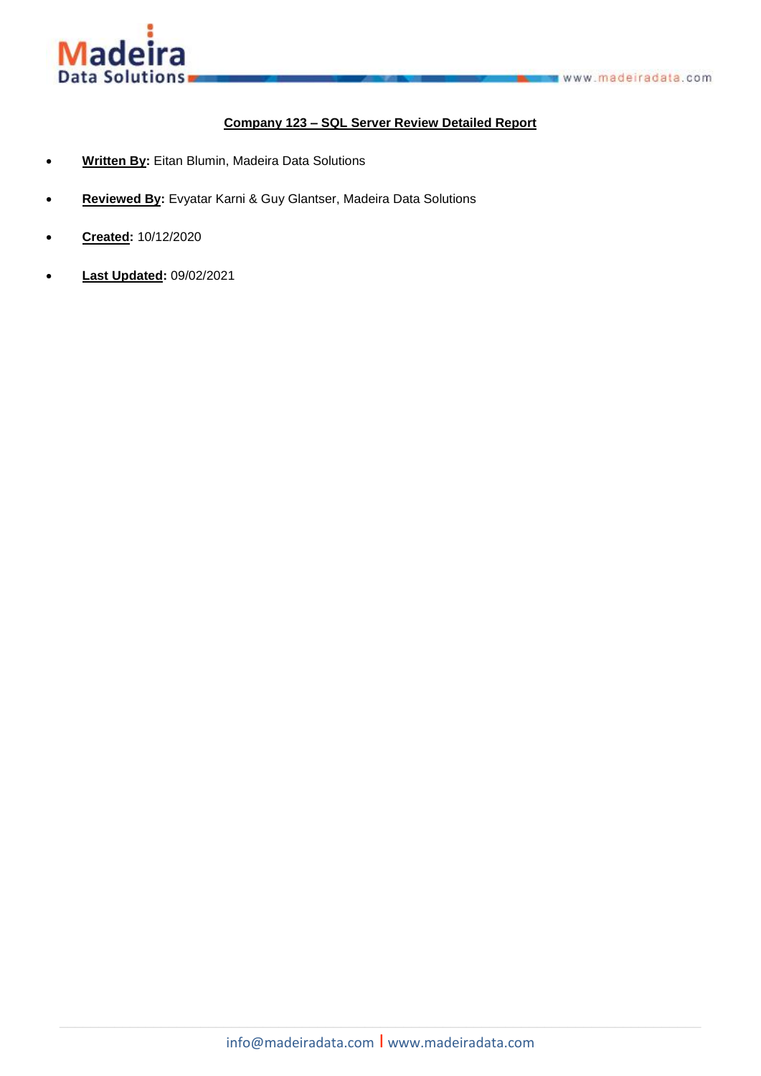



# **Company 123 – SQL Server Review Detailed Report**

- **Written By:** Eitan Blumin, Madeira Data Solutions
- **Reviewed By:** Evyatar Karni & Guy Glantser, Madeira Data Solutions
- **Created:** 10/12/2020
- **Last Updated:** 09/02/2021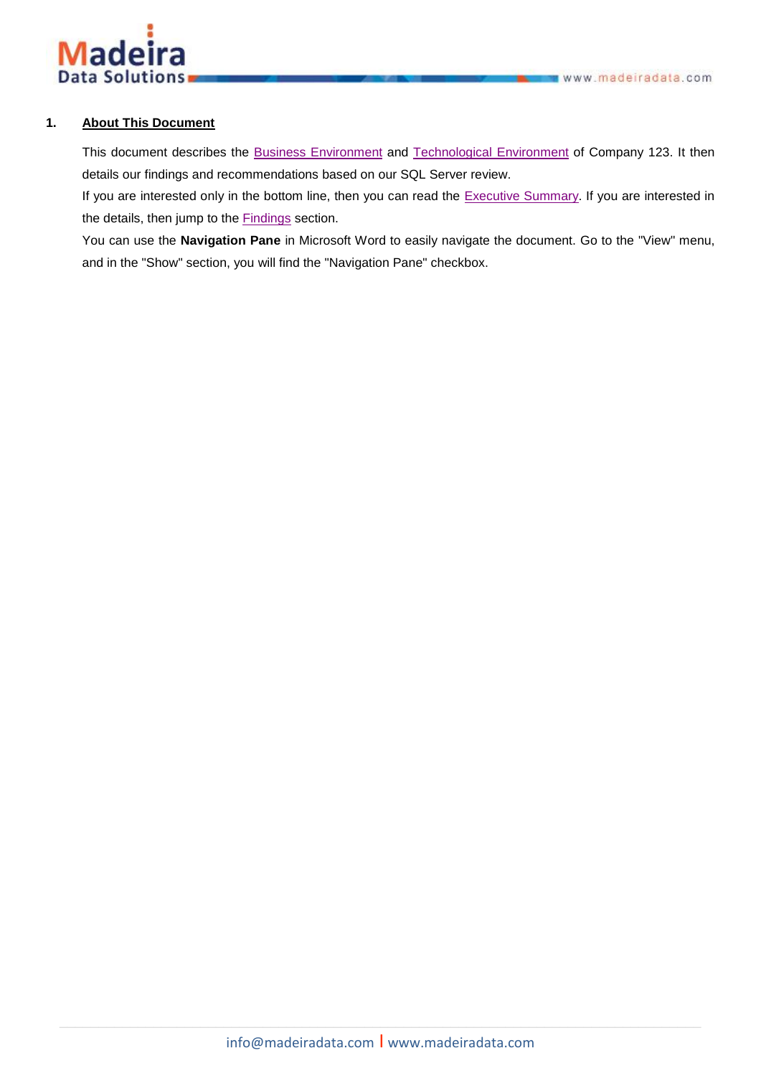

## **1. About This Document**

This document describes the [Business Environment](#page-3-0) and [Technological Environment](#page-3-1) of Company 123. It then details our findings and recommendations based on our SQL Server review.

If you are interested only in the bottom line, then you can read the **Executive Summary.** If you are interested in the details, then jump to the [Findings](#page-4-0) section.

You can use the **Navigation Pane** in Microsoft Word to easily navigate the document. Go to the "View" menu, and in the "Show" section, you will find the "Navigation Pane" checkbox.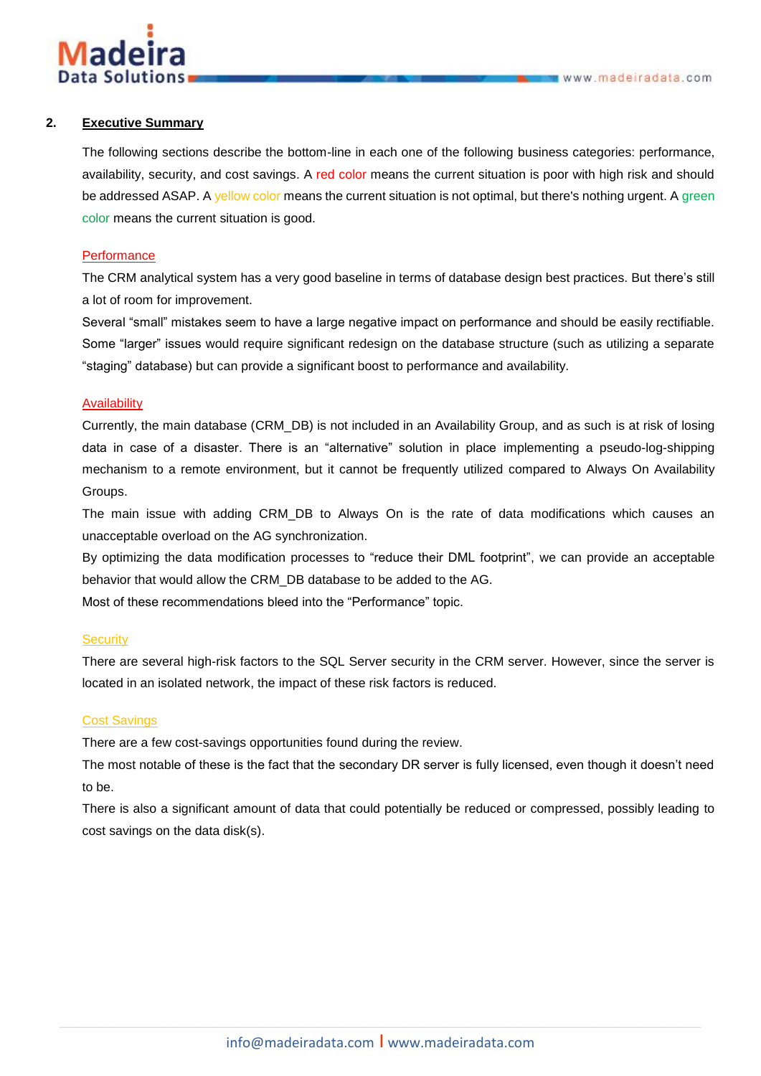

## <span id="page-2-0"></span>**2. Executive Summary**

The following sections describe the bottom-line in each one of the following business categories: performance, availability, security, and cost savings. A red color means the current situation is poor with high risk and should be addressed ASAP. A yellow color means the current situation is not optimal, but there's nothing urgent. A green color means the current situation is good.

#### **Performance**

The CRM analytical system has a very good baseline in terms of database design best practices. But there's still a lot of room for improvement.

Several "small" mistakes seem to have a large negative impact on performance and should be easily rectifiable. Some "larger" issues would require significant redesign on the database structure (such as utilizing a separate "staging" database) but can provide a significant boost to performance and availability.

#### Availability

Currently, the main database (CRM\_DB) is not included in an Availability Group, and as such is at risk of losing data in case of a disaster. There is an "alternative" solution in place implementing a pseudo-log-shipping mechanism to a remote environment, but it cannot be frequently utilized compared to Always On Availability Groups.

The main issue with adding CRM\_DB to Always On is the rate of data modifications which causes an unacceptable overload on the AG synchronization.

By optimizing the data modification processes to "reduce their DML footprint", we can provide an acceptable behavior that would allow the CRM\_DB database to be added to the AG.

Most of these recommendations bleed into the "Performance" topic.

#### **Security**

There are several high-risk factors to the SQL Server security in the CRM server. However, since the server is located in an isolated network, the impact of these risk factors is reduced.

#### Cost Savings

There are a few cost-savings opportunities found during the review.

The most notable of these is the fact that the secondary DR server is fully licensed, even though it doesn't need to be.

There is also a significant amount of data that could potentially be reduced or compressed, possibly leading to cost savings on the data disk(s).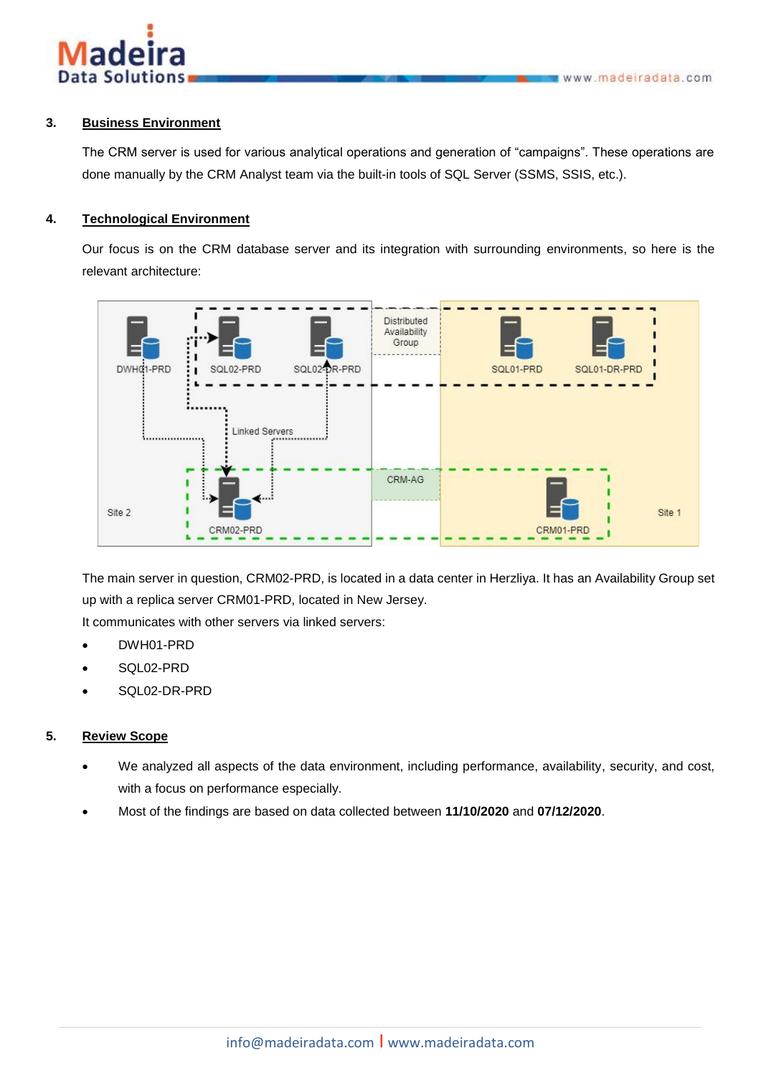

# <span id="page-3-0"></span>**3. Business Environment**

The CRM server is used for various analytical operations and generation of "campaigns". These operations are done manually by the CRM Analyst team via the built-in tools of SQL Server (SSMS, SSIS, etc.).

## <span id="page-3-1"></span>**4. Technological Environment**

Our focus is on the CRM database server and its integration with surrounding environments, so here is the relevant architecture:



The main server in question, CRM02-PRD, is located in a data center in Herzliya. It has an Availability Group set up with a replica server CRM01-PRD, located in New Jersey.

It communicates with other servers via linked servers:

- DWH01-PRD
- SQL02-PRD
- SQL02-DR-PRD

# **5. Review Scope**

- We analyzed all aspects of the data environment, including performance, availability, security, and cost, with a focus on performance especially.
- Most of the findings are based on data collected between **11/10/2020** and **07/12/2020**.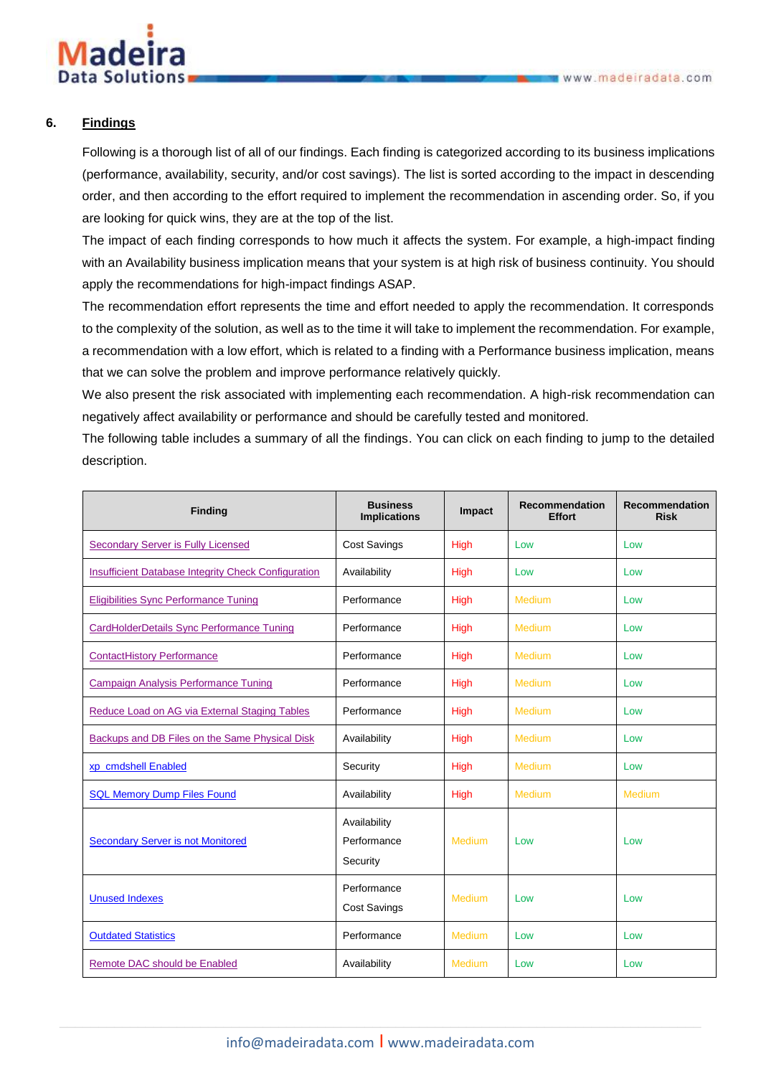

# <span id="page-4-0"></span>**6. Findings**

Following is a thorough list of all of our findings. Each finding is categorized according to its business implications (performance, availability, security, and/or cost savings). The list is sorted according to the impact in descending order, and then according to the effort required to implement the recommendation in ascending order. So, if you are looking for quick wins, they are at the top of the list.

The impact of each finding corresponds to how much it affects the system. For example, a high-impact finding with an Availability business implication means that your system is at high risk of business continuity. You should apply the recommendations for high-impact findings ASAP.

The recommendation effort represents the time and effort needed to apply the recommendation. It corresponds to the complexity of the solution, as well as to the time it will take to implement the recommendation. For example, a recommendation with a low effort, which is related to a finding with a Performance business implication, means that we can solve the problem and improve performance relatively quickly.

We also present the risk associated with implementing each recommendation. A high-risk recommendation can negatively affect availability or performance and should be carefully tested and monitored.

The following table includes a summary of all the findings. You can click on each finding to jump to the detailed description.

| <b>Finding</b>                                             | <b>Business</b><br><b>Implications</b>  | Impact        | <b>Recommendation</b><br><b>Effort</b> | <b>Recommendation</b><br><b>Risk</b> |
|------------------------------------------------------------|-----------------------------------------|---------------|----------------------------------------|--------------------------------------|
| <b>Secondary Server is Fully Licensed</b>                  | <b>Cost Savings</b>                     | High          | Low                                    | Low                                  |
| <b>Insufficient Database Integrity Check Configuration</b> | Availability                            | High          | Low                                    | Low                                  |
| <b>Eligibilities Sync Performance Tuning</b>               | Performance                             | High          | <b>Medium</b>                          | Low                                  |
| CardHolderDetails Sync Performance Tuning                  | Performance                             | High          | Medium                                 | Low                                  |
| <b>ContactHistory Performance</b>                          | Performance                             | High          | Medium                                 | Low                                  |
| <b>Campaign Analysis Performance Tuning</b>                | Performance                             | High          | Medium                                 | Low                                  |
| Reduce Load on AG via External Staging Tables              | Performance                             | High          | <b>Medium</b>                          | Low                                  |
| Backups and DB Files on the Same Physical Disk             | Availability                            | High          | <b>Medium</b>                          | Low                                  |
| xp cmdshell Enabled                                        | Security                                | High          | <b>Medium</b>                          | Low                                  |
| <b>SQL Memory Dump Files Found</b>                         | Availability                            | High          | Medium                                 | <b>Medium</b>                        |
| <b>Secondary Server is not Monitored</b>                   | Availability<br>Performance<br>Security | Medium        | Low                                    | Low                                  |
| <b>Unused Indexes</b>                                      | Performance<br><b>Cost Savings</b>      | Medium        | Low                                    | Low                                  |
| <b>Outdated Statistics</b>                                 | Performance                             | <b>Medium</b> | Low                                    | Low                                  |
| Remote DAC should be Enabled                               | Availability                            | <b>Medium</b> | Low                                    | Low                                  |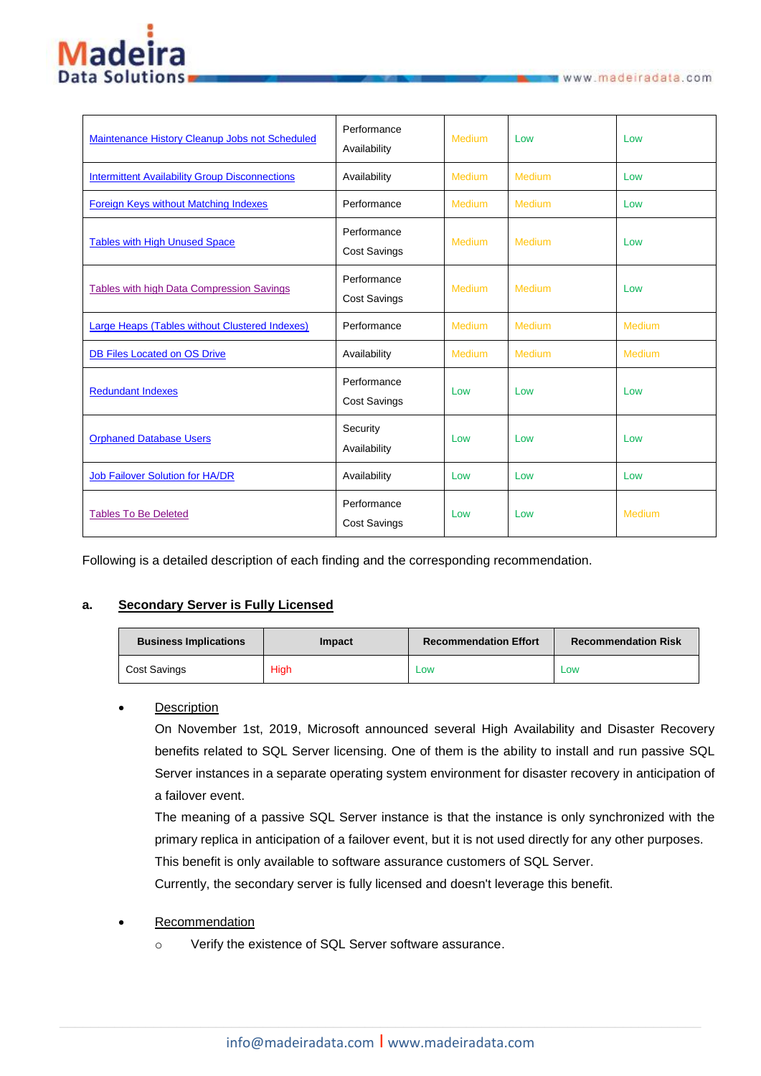

| Maintenance History Cleanup Jobs not Scheduled        | Performance<br>Availability        | <b>Medium</b> | Low           | Low           |
|-------------------------------------------------------|------------------------------------|---------------|---------------|---------------|
| <b>Intermittent Availability Group Disconnections</b> | Availability                       | <b>Medium</b> | Medium        | Low           |
| Foreign Keys without Matching Indexes                 | Performance                        | <b>Medium</b> | <b>Medium</b> | Low           |
| <b>Tables with High Unused Space</b>                  | Performance<br><b>Cost Savings</b> | Medium        | Medium        | Low           |
| <b>Tables with high Data Compression Savings</b>      | Performance<br><b>Cost Savings</b> | Medium        | Medium        | Low           |
| Large Heaps (Tables without Clustered Indexes)        | Performance                        | <b>Medium</b> | Medium        | <b>Medium</b> |
| <b>DB Files Located on OS Drive</b>                   | Availability                       | <b>Medium</b> | Medium        | Medium        |
| <b>Redundant Indexes</b>                              | Performance<br>Cost Savings        | Low           | Low           | Low           |
| <b>Orphaned Database Users</b>                        | Security<br>Availability           | Low           | Low           | Low           |
| <b>Job Failover Solution for HA/DR</b>                | Availability                       | Low           | Low           | Low           |
| <b>Tables To Be Deleted</b>                           | Performance<br><b>Cost Savings</b> | Low           | Low           | Medium        |

<span id="page-5-0"></span>Following is a detailed description of each finding and the corresponding recommendation.

# **a. Secondary Server is Fully Licensed**

| <b>Business Implications</b> | Impact | <b>Recommendation Effort</b> | <b>Recommendation Risk</b> |
|------------------------------|--------|------------------------------|----------------------------|
| Cost Savings                 | High   | Low                          | Low                        |

#### **Description**

On November 1st, 2019, Microsoft announced several High Availability and Disaster Recovery benefits related to SQL Server licensing. One of them is the ability to install and run passive SQL Server instances in a separate operating system environment for disaster recovery in anticipation of a failover event.

The meaning of a passive SQL Server instance is that the instance is only synchronized with the primary replica in anticipation of a failover event, but it is not used directly for any other purposes. This benefit is only available to software assurance customers of SQL Server. Currently, the secondary server is fully licensed and doesn't leverage this benefit.

#### **Recommendation**

o Verify the existence of SQL Server software assurance.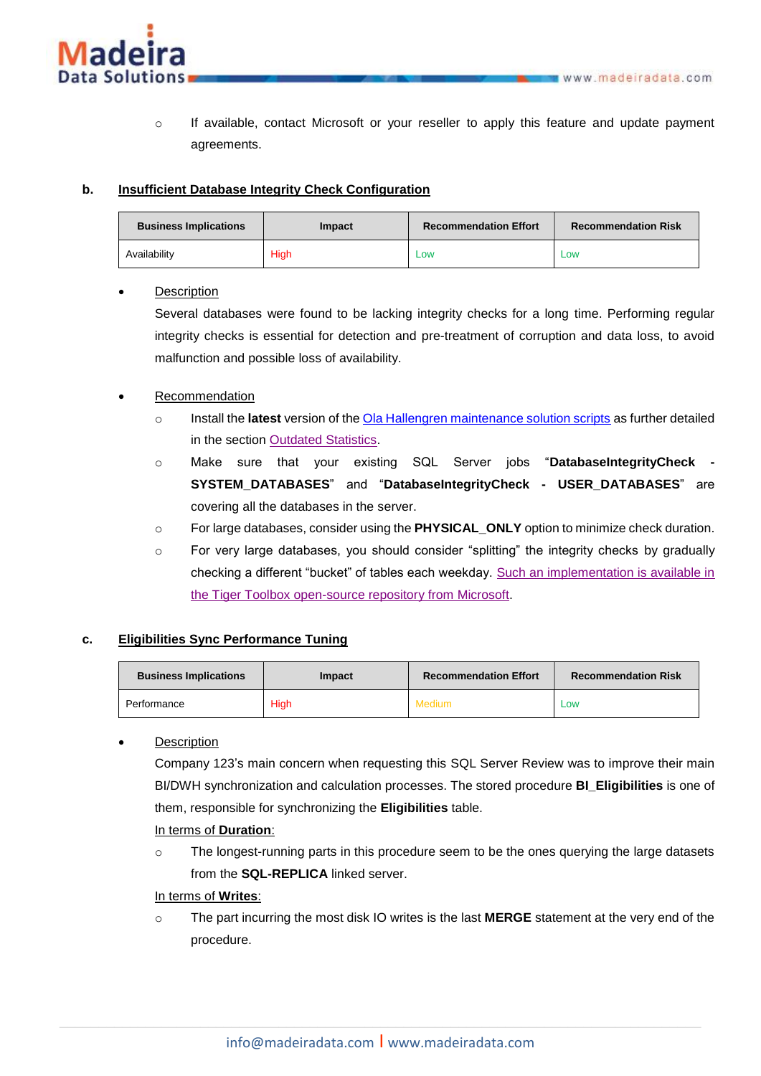

o If available, contact Microsoft or your reseller to apply this feature and update payment agreements.

## <span id="page-6-0"></span>**b. Insufficient Database Integrity Check Configuration**

| <b>Business Implications</b> | Impact | <b>Recommendation Effort</b> | <b>Recommendation Risk</b> |
|------------------------------|--------|------------------------------|----------------------------|
| Availability                 | High   | <b>LOW</b>                   | Low                        |

#### **Description**

Several databases were found to be lacking integrity checks for a long time. Performing regular integrity checks is essential for detection and pre-treatment of corruption and data loss, to avoid malfunction and possible loss of availability.

## • Recommendation

- o Install the **latest** version of the [Ola Hallengren maintenance solution scripts](https://ola.hallengren.com/) as further detailed in the section [Outdated Statistics.](#page-16-0)
- o Make sure that your existing SQL Server jobs "**DatabaseIntegrityCheck - SYSTEM\_DATABASES**" and "**DatabaseIntegrityCheck - USER\_DATABASES**" are covering all the databases in the server.
- o For large databases, consider using the **PHYSICAL\_ONLY** option to minimize check duration.
- $\circ$  For very large databases, you should consider "splitting" the integrity checks by gradually checking a different "bucket" of tables each weekday. [Such an implementation is available in](https://github.com/microsoft/tigertoolbox/blob/master/MaintenanceSolution/5_job_Maintenance_MEA.sql)  [the Tiger Toolbox open-source repository from Microsoft.](https://github.com/microsoft/tigertoolbox/blob/master/MaintenanceSolution/5_job_Maintenance_MEA.sql)

## <span id="page-6-1"></span>**c. Eligibilities Sync Performance Tuning**

| <b>Business Implications</b> | Impact | <b>Recommendation Effort</b> | <b>Recommendation Risk</b> |
|------------------------------|--------|------------------------------|----------------------------|
| Performance                  | High   | Medium                       | LOW                        |

#### **Description**

Company 123's main concern when requesting this SQL Server Review was to improve their main BI/DWH synchronization and calculation processes. The stored procedure **BI\_Eligibilities** is one of them, responsible for synchronizing the **Eligibilities** table.

#### In terms of **Duration**:

o The longest-running parts in this procedure seem to be the ones querying the large datasets from the **SQL-REPLICA** linked server.

#### In terms of **Writes**:

o The part incurring the most disk IO writes is the last **MERGE** statement at the very end of the procedure.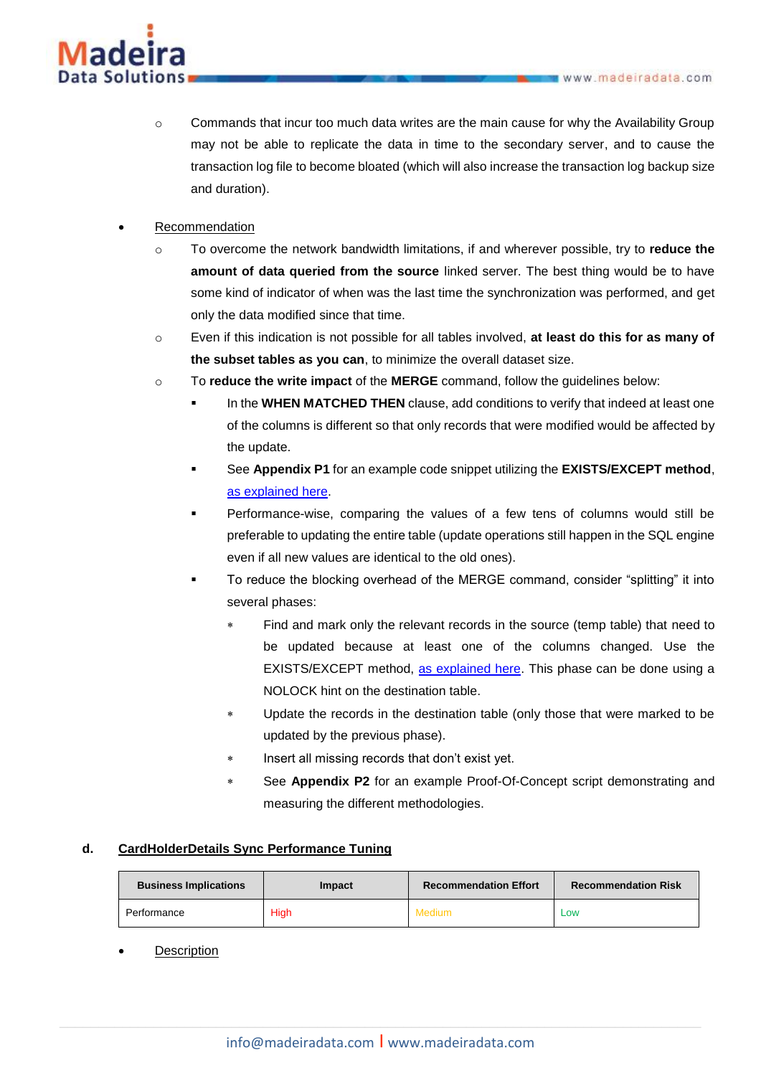

- $\circ$  Commands that incur too much data writes are the main cause for why the Availability Group may not be able to replicate the data in time to the secondary server, and to cause the transaction log file to become bloated (which will also increase the transaction log backup size and duration).
- **Recommendation** 
	- o To overcome the network bandwidth limitations, if and wherever possible, try to **reduce the amount of data queried from the source** linked server. The best thing would be to have some kind of indicator of when was the last time the synchronization was performed, and get only the data modified since that time.
	- o Even if this indication is not possible for all tables involved, **at least do this for as many of the subset tables as you can**, to minimize the overall dataset size.
	- o To **reduce the write impact** of the **MERGE** command, follow the guidelines below:
		- In the WHEN MATCHED THEN clause, add conditions to verify that indeed at least one of the columns is different so that only records that were modified would be affected by the update.
		- See **Appendix P1** for an example code snippet utilizing the **EXISTS/EXCEPT method**, [as explained here.](https://chadbaldwin.net/2020/12/30/only-update-rows-that-changed.html)
		- Performance-wise, comparing the values of a few tens of columns would still be preferable to updating the entire table (update operations still happen in the SQL engine even if all new values are identical to the old ones).
		- To reduce the blocking overhead of the MERGE command, consider "splitting" it into several phases:
			- Find and mark only the relevant records in the source (temp table) that need to be updated because at least one of the columns changed. Use the EXISTS/EXCEPT method, [as explained here.](https://chadbaldwin.net/2020/12/30/only-update-rows-that-changed.html) This phase can be done using a NOLOCK hint on the destination table.
			- Update the records in the destination table (only those that were marked to be updated by the previous phase).
			- Insert all missing records that don't exist yet.
			- See **Appendix P2** for an example Proof-Of-Concept script demonstrating and measuring the different methodologies.

## <span id="page-7-0"></span>**d. CardHolderDetails Sync Performance Tuning**

| <b>Business Implications</b> | Impact | <b>Recommendation Effort</b> | <b>Recommendation Risk</b> |
|------------------------------|--------|------------------------------|----------------------------|
| Performance                  | High   | Medium                       | Low                        |

**Description**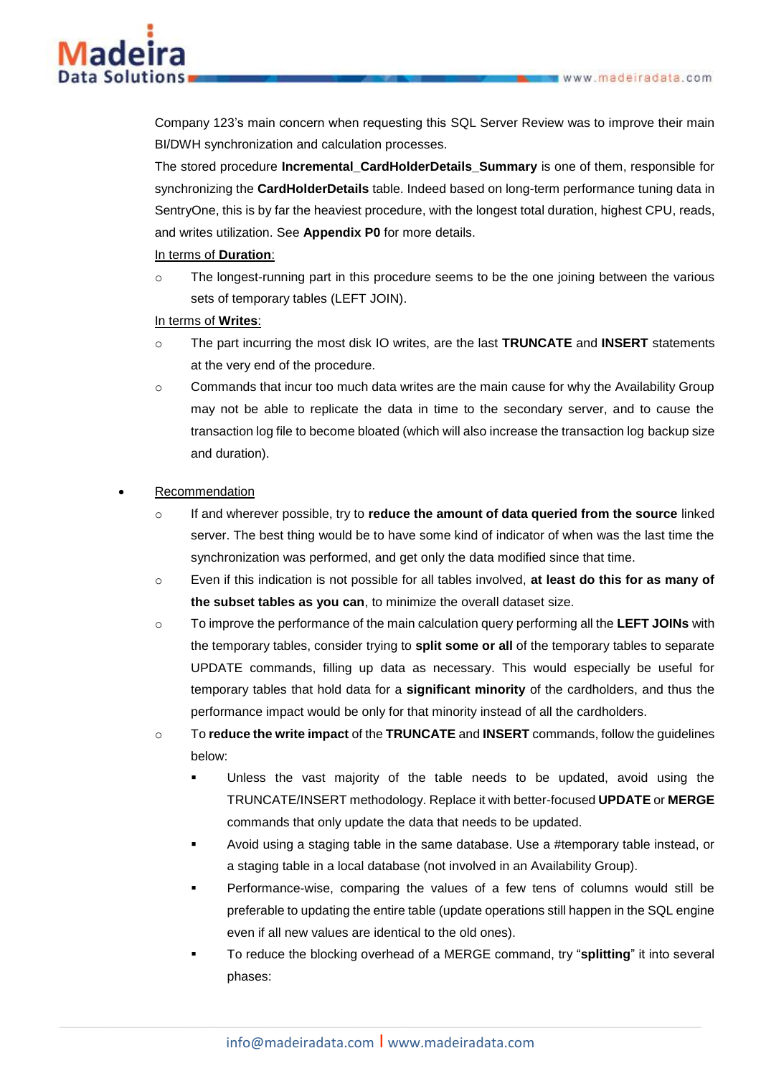

Company 123's main concern when requesting this SQL Server Review was to improve their main BI/DWH synchronization and calculation processes.

The stored procedure **Incremental\_CardHolderDetails\_Summary** is one of them, responsible for synchronizing the **CardHolderDetails** table. Indeed based on long-term performance tuning data in SentryOne, this is by far the heaviest procedure, with the longest total duration, highest CPU, reads, and writes utilization. See **Appendix P0** for more details.

#### In terms of **Duration**:

o The longest-running part in this procedure seems to be the one joining between the various sets of temporary tables (LEFT JOIN).

#### In terms of **Writes**:

- o The part incurring the most disk IO writes, are the last **TRUNCATE** and **INSERT** statements at the very end of the procedure.
- $\circ$  Commands that incur too much data writes are the main cause for why the Availability Group may not be able to replicate the data in time to the secondary server, and to cause the transaction log file to become bloated (which will also increase the transaction log backup size and duration).

## • Recommendation

- o If and wherever possible, try to **reduce the amount of data queried from the source** linked server. The best thing would be to have some kind of indicator of when was the last time the synchronization was performed, and get only the data modified since that time.
- o Even if this indication is not possible for all tables involved, **at least do this for as many of the subset tables as you can**, to minimize the overall dataset size.
- o To improve the performance of the main calculation query performing all the **LEFT JOINs** with the temporary tables, consider trying to **split some or all** of the temporary tables to separate UPDATE commands, filling up data as necessary. This would especially be useful for temporary tables that hold data for a **significant minority** of the cardholders, and thus the performance impact would be only for that minority instead of all the cardholders.
- o To **reduce the write impact** of the **TRUNCATE** and **INSERT** commands, follow the guidelines below:
	- Unless the vast majority of the table needs to be updated, avoid using the TRUNCATE/INSERT methodology. Replace it with better-focused **UPDATE** or **MERGE** commands that only update the data that needs to be updated.
	- Avoid using a staging table in the same database. Use a #temporary table instead, or a staging table in a local database (not involved in an Availability Group).
	- Performance-wise, comparing the values of a few tens of columns would still be preferable to updating the entire table (update operations still happen in the SQL engine even if all new values are identical to the old ones).
	- To reduce the blocking overhead of a MERGE command, try "splitting" it into several phases: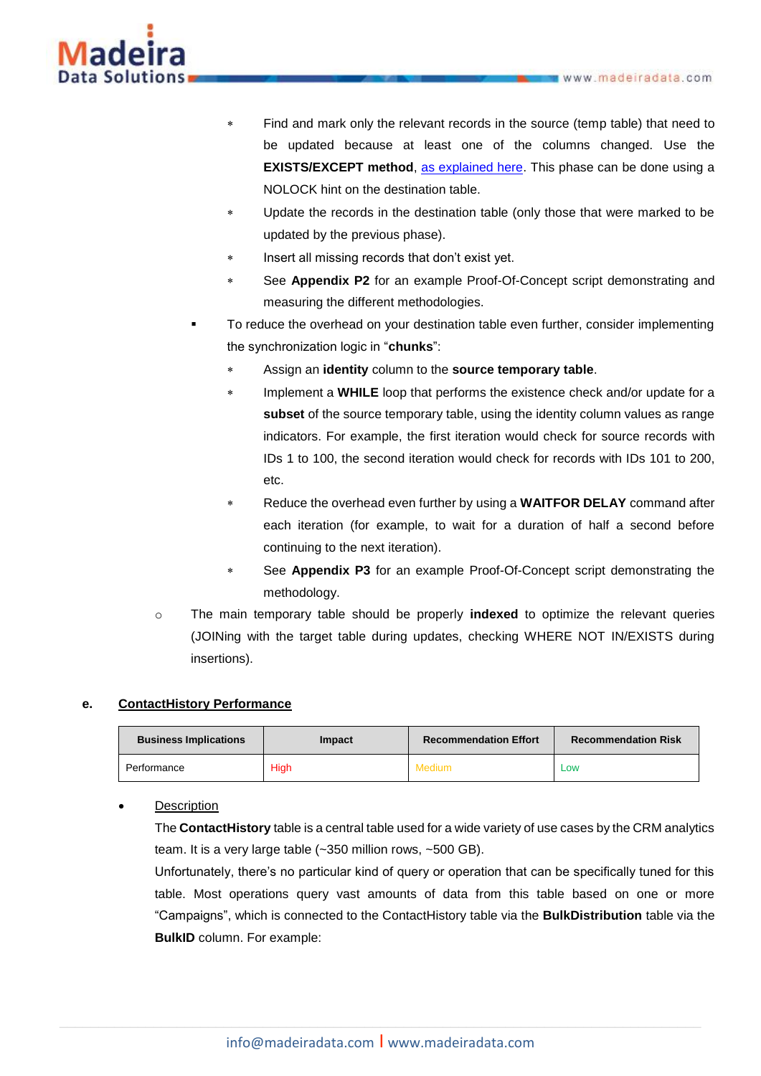

- Find and mark only the relevant records in the source (temp table) that need to be updated because at least one of the columns changed. Use the **EXISTS/EXCEPT method**, [as explained here.](https://chadbaldwin.net/2020/12/30/only-update-rows-that-changed.html) This phase can be done using a NOLOCK hint on the destination table.
- Update the records in the destination table (only those that were marked to be updated by the previous phase).
- Insert all missing records that don't exist yet.
- See **Appendix P2** for an example Proof-Of-Concept script demonstrating and measuring the different methodologies.
- To reduce the overhead on your destination table even further, consider implementing the synchronization logic in "**chunks**":
	- Assign an **identity** column to the **source temporary table**.
	- Implement a **WHILE** loop that performs the existence check and/or update for a **subset** of the source temporary table, using the identity column values as range indicators. For example, the first iteration would check for source records with IDs 1 to 100, the second iteration would check for records with IDs 101 to 200, etc.
	- Reduce the overhead even further by using a **WAITFOR DELAY** command after each iteration (for example, to wait for a duration of half a second before continuing to the next iteration).
	- See **Appendix P3** for an example Proof-Of-Concept script demonstrating the methodology.
- o The main temporary table should be properly **indexed** to optimize the relevant queries (JOINing with the target table during updates, checking WHERE NOT IN/EXISTS during insertions).

## <span id="page-9-0"></span>**e. ContactHistory Performance**

| <b>Business Implications</b> | Impact | <b>Recommendation Effort</b> | <b>Recommendation Risk</b> |
|------------------------------|--------|------------------------------|----------------------------|
| Performance                  | High   | Medium                       | Low                        |

**Description** 

The **ContactHistory** table is a central table used for a wide variety of use cases by the CRM analytics team. It is a very large table (~350 million rows, ~500 GB).

Unfortunately, there's no particular kind of query or operation that can be specifically tuned for this table. Most operations query vast amounts of data from this table based on one or more "Campaigns", which is connected to the ContactHistory table via the **BulkDistribution** table via the **BulkID** column. For example: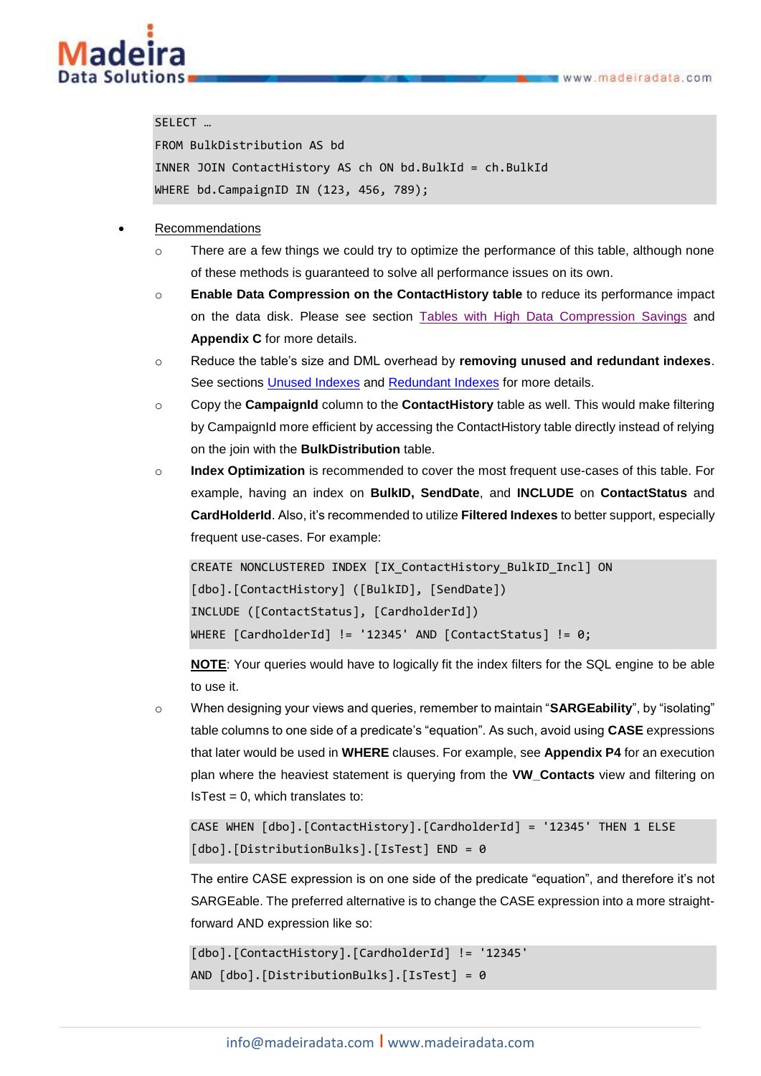

#### SELECT …

FROM BulkDistribution AS bd INNER JOIN ContactHistory AS ch ON bd.BulkId = ch.BulkId WHERE bd.CampaignID IN (123, 456, 789);

#### • Recommendations

- $\circ$  There are a few things we could try to optimize the performance of this table, although none of these methods is guaranteed to solve all performance issues on its own.
- o **Enable Data Compression on the ContactHistory table** to reduce its performance impact on the data disk. Please see section [Tables with High Data Compression Savings](#page-19-1) and **Appendix C** for more details.
- o Reduce the table's size and DML overhead by **removing unused and redundant indexes**. See sections [Unused Indexes](#page-15-0) and [Redundant Indexes](#page-21-1) for more details.
- o Copy the **CampaignId** column to the **ContactHistory** table as well. This would make filtering by CampaignId more efficient by accessing the ContactHistory table directly instead of relying on the join with the **BulkDistribution** table.
- o **Index Optimization** is recommended to cover the most frequent use-cases of this table. For example, having an index on **BulkID, SendDate**, and **INCLUDE** on **ContactStatus** and **CardHolderId**. Also, it's recommended to utilize **Filtered Indexes** to better support, especially frequent use-cases. For example:

CREATE NONCLUSTERED INDEX [IX ContactHistory BulkID Incl] ON [dbo].[ContactHistory] ([BulkID], [SendDate]) INCLUDE ([ContactStatus], [CardholderId]) WHERE [CardholderId] != '12345' AND [ContactStatus] != 0;

**NOTE**: Your queries would have to logically fit the index filters for the SQL engine to be able to use it.

o When designing your views and queries, remember to maintain "**SARGEability**", by "isolating" table columns to one side of a predicate's "equation". As such, avoid using **CASE** expressions that later would be used in **WHERE** clauses. For example, see **Appendix P4** for an execution plan where the heaviest statement is querying from the **VW\_Contacts** view and filtering on  $IsTest = 0$ , which translates to:

```
CASE WHEN [dbo].[ContactHistory].[CardholderId] = '12345' THEN 1 ELSE
[dbo].[DistributionBulks].[IsTest] END = 0
```
The entire CASE expression is on one side of the predicate "equation", and therefore it's not SARGEable. The preferred alternative is to change the CASE expression into a more straightforward AND expression like so:

```
[dbo].[ContactHistory].[CardholderId] != '12345'
AND [dbo].[DistributionBulks].[IsTest] = 0
```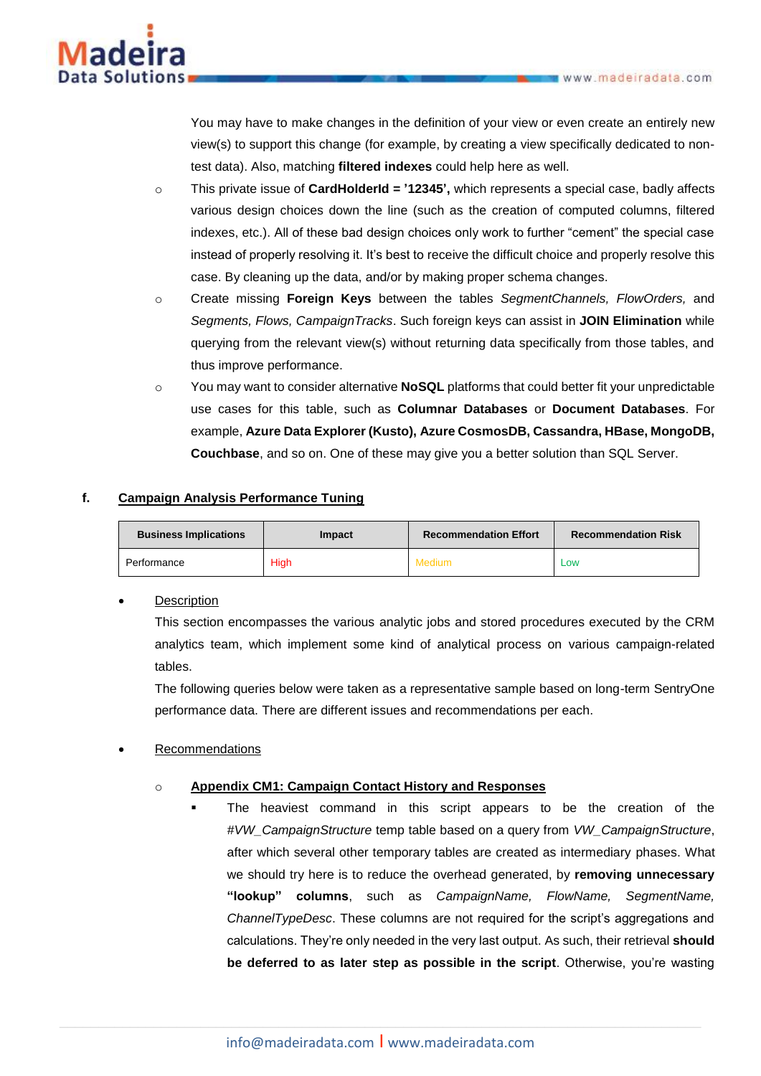

You may have to make changes in the definition of your view or even create an entirely new view(s) to support this change (for example, by creating a view specifically dedicated to nontest data). Also, matching **filtered indexes** could help here as well.

- o This private issue of **CardHolderId = '12345',** which represents a special case, badly affects various design choices down the line (such as the creation of computed columns, filtered indexes, etc.). All of these bad design choices only work to further "cement" the special case instead of properly resolving it. It's best to receive the difficult choice and properly resolve this case. By cleaning up the data, and/or by making proper schema changes.
- o Create missing **Foreign Keys** between the tables *SegmentChannels, FlowOrders,* and *Segments, Flows, CampaignTracks*. Such foreign keys can assist in **JOIN Elimination** while querying from the relevant view(s) without returning data specifically from those tables, and thus improve performance.
- o You may want to consider alternative **NoSQL** platforms that could better fit your unpredictable use cases for this table, such as **Columnar Databases** or **Document Databases**. For example, **Azure Data Explorer (Kusto), Azure CosmosDB, Cassandra, HBase, MongoDB, Couchbase**, and so on. One of these may give you a better solution than SQL Server.

## <span id="page-11-0"></span>**f. Campaign Analysis Performance Tuning**

| <b>Business Implications</b> | Impact | <b>Recommendation Effort</b> | <b>Recommendation Risk</b> |
|------------------------------|--------|------------------------------|----------------------------|
| Performance                  | High   | Medium                       | Low                        |

#### **Description**

This section encompasses the various analytic jobs and stored procedures executed by the CRM analytics team, which implement some kind of analytical process on various campaign-related tables.

The following queries below were taken as a representative sample based on long-term SentryOne performance data. There are different issues and recommendations per each.

## • Recommendations

#### o **Appendix CM1: Campaign Contact History and Responses**

The heaviest command in this script appears to be the creation of the *#VW\_CampaignStructure* temp table based on a query from *VW\_CampaignStructure*, after which several other temporary tables are created as intermediary phases. What we should try here is to reduce the overhead generated, by **removing unnecessary "lookup" columns**, such as *CampaignName, FlowName, SegmentName, ChannelTypeDesc*. These columns are not required for the script's aggregations and calculations. They're only needed in the very last output. As such, their retrieval **should be deferred to as later step as possible in the script**. Otherwise, you're wasting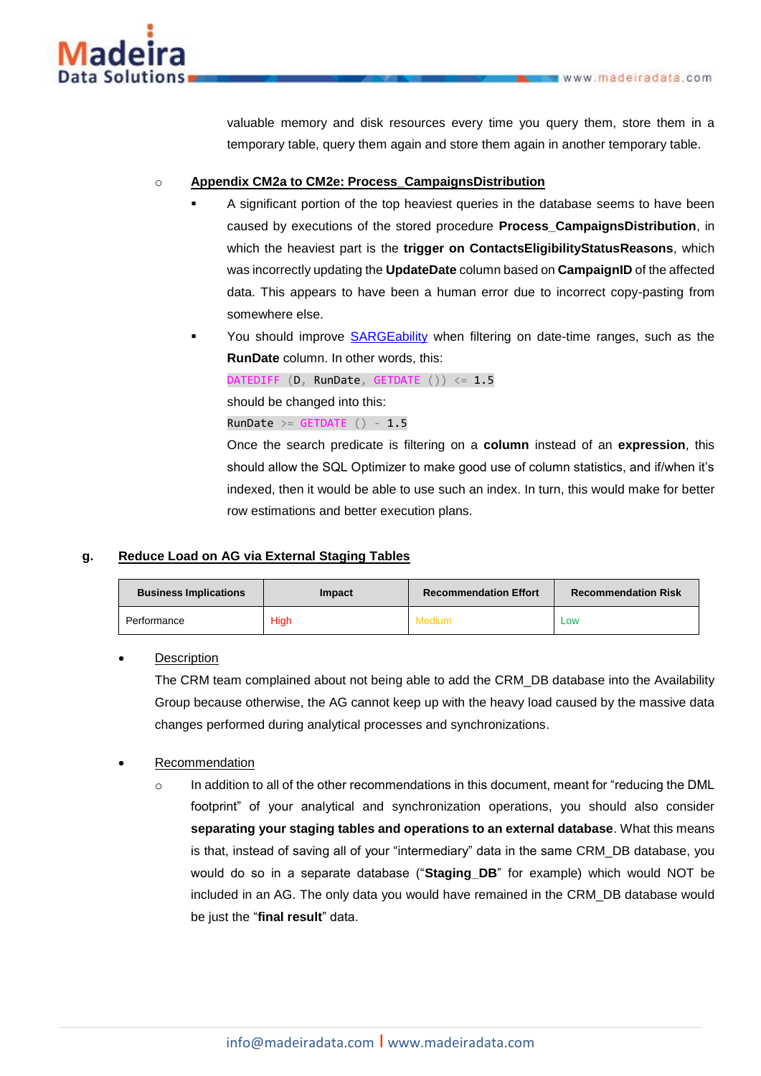

valuable memory and disk resources every time you query them, store them in a temporary table, query them again and store them again in another temporary table.

#### o **Appendix CM2a to CM2e: Process\_CampaignsDistribution**

- A significant portion of the top heaviest queries in the database seems to have been caused by executions of the stored procedure **Process\_CampaignsDistribution**, in which the heaviest part is the **trigger on ContactsEligibilityStatusReasons**, which was incorrectly updating the **UpdateDate** column based on **CampaignID** of the affected data. This appears to have been a human error due to incorrect copy-pasting from somewhere else.
- You should improve [SARGEability](https://en.wikipedia.org/wiki/Sargable) when filtering on date-time ranges, such as the **RunDate** column. In other words, this:

DATEDIFF (D, RunDate, GETDATE ())  $\leq 1.5$ 

should be changed into this:

RunDate  $>=$  GETDATE () - 1.5

Once the search predicate is filtering on a **column** instead of an **expression**, this should allow the SQL Optimizer to make good use of column statistics, and if/when it's indexed, then it would be able to use such an index. In turn, this would make for better row estimations and better execution plans.

## <span id="page-12-0"></span>**g. Reduce Load on AG via External Staging Tables**

| <b>Business Implications</b> | Impact | Recommendation Effort | <b>Recommendation Risk</b> |
|------------------------------|--------|-----------------------|----------------------------|
| Performance                  | High   | <b>Medium</b>         | Low                        |

**Description** 

The CRM team complained about not being able to add the CRM\_DB database into the Availability Group because otherwise, the AG cannot keep up with the heavy load caused by the massive data changes performed during analytical processes and synchronizations.

## • Recommendation

 $\circ$  In addition to all of the other recommendations in this document, meant for "reducing the DML footprint" of your analytical and synchronization operations, you should also consider **separating your staging tables and operations to an external database**. What this means is that, instead of saving all of your "intermediary" data in the same CRM\_DB database, you would do so in a separate database ("**Staging\_DB**" for example) which would NOT be included in an AG. The only data you would have remained in the CRM\_DB database would be just the "**final result**" data.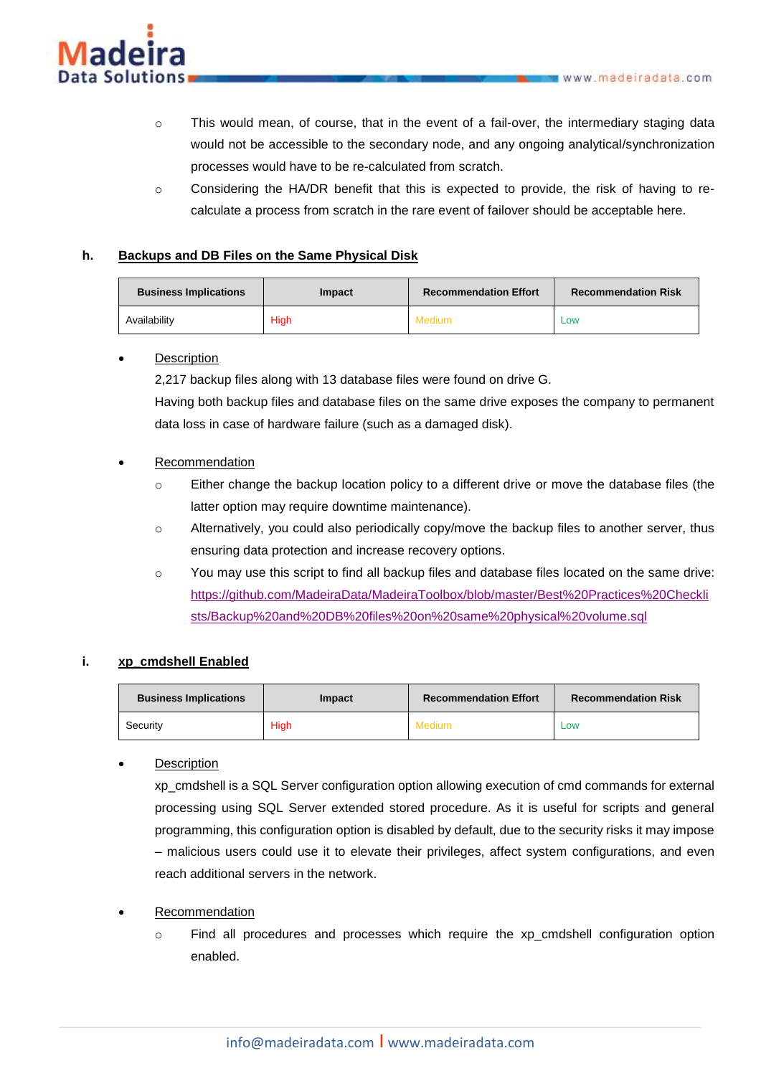

- o This would mean, of course, that in the event of a fail-over, the intermediary staging data would not be accessible to the secondary node, and any ongoing analytical/synchronization processes would have to be re-calculated from scratch.
- o Considering the HA/DR benefit that this is expected to provide, the risk of having to recalculate a process from scratch in the rare event of failover should be acceptable here.

# <span id="page-13-0"></span>**h. Backups and DB Files on the Same Physical Disk**

| <b>Business Implications</b> | Impact | <b>Recommendation Effort</b> | <b>Recommendation Risk</b> |
|------------------------------|--------|------------------------------|----------------------------|
| Availability                 | High   | Medium                       | Low                        |

# **Description**

2,217 backup files along with 13 database files were found on drive G.

Having both backup files and database files on the same drive exposes the company to permanent data loss in case of hardware failure (such as a damaged disk).

# • Recommendation

- o Either change the backup location policy to a different drive or move the database files (the latter option may require downtime maintenance).
- o Alternatively, you could also periodically copy/move the backup files to another server, thus ensuring data protection and increase recovery options.
- $\circ$  You may use this script to find all backup files and database files located on the same drive: [https://github.com/MadeiraData/MadeiraToolbox/blob/master/Best%20Practices%20Checkli](https://github.com/MadeiraData/MadeiraToolbox/blob/master/Best%20Practices%20Checklists/Backup%20and%20DB%20files%20on%20same%20physical%20volume.sql) [sts/Backup%20and%20DB%20files%20on%20same%20physical%20volume.sql](https://github.com/MadeiraData/MadeiraToolbox/blob/master/Best%20Practices%20Checklists/Backup%20and%20DB%20files%20on%20same%20physical%20volume.sql)

## <span id="page-13-1"></span>**i. xp\_cmdshell Enabled**

| <b>Business Implications</b> | Impact | <b>Recommendation Effort</b> | <b>Recommendation Risk</b> |
|------------------------------|--------|------------------------------|----------------------------|
| Security                     | High   | Medium                       | Low                        |

## **Description**

xp\_cmdshell is a SQL Server configuration option allowing execution of cmd commands for external processing using SQL Server extended stored procedure. As it is useful for scripts and general programming, this configuration option is disabled by default, due to the security risks it may impose – malicious users could use it to elevate their privileges, affect system configurations, and even reach additional servers in the network.

- **Recommendation** 
	- o Find all procedures and processes which require the xp\_cmdshell configuration option enabled.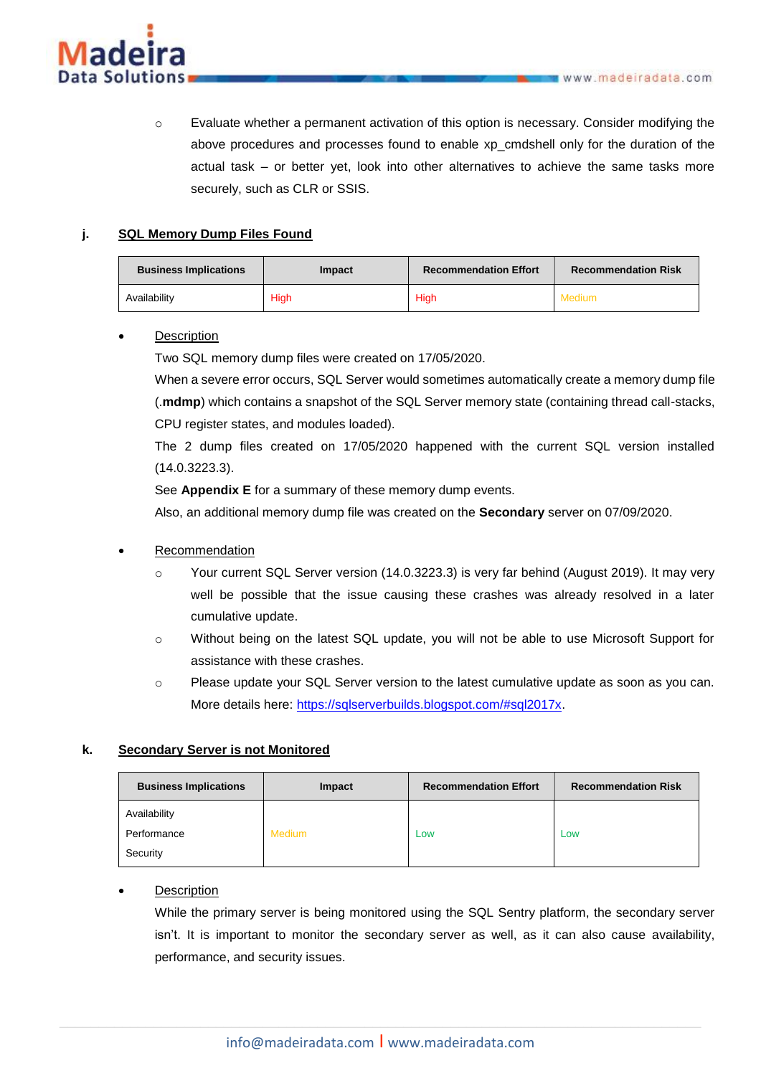

o Evaluate whether a permanent activation of this option is necessary. Consider modifying the above procedures and processes found to enable xp\_cmdshell only for the duration of the actual task – or better yet, look into other alternatives to achieve the same tasks more securely, such as CLR or SSIS.

# <span id="page-14-0"></span>**j. SQL Memory Dump Files Found**

| <b>Business Implications</b> | Impact | <b>Recommendation Effort</b> | <b>Recommendation Risk</b> |
|------------------------------|--------|------------------------------|----------------------------|
| Availability                 | High   | High                         | Medium                     |

# **Description**

Two SQL memory dump files were created on 17/05/2020.

When a severe error occurs, SQL Server would sometimes automatically create a memory dump file (.**mdmp**) which contains a snapshot of the SQL Server memory state (containing thread call-stacks, CPU register states, and modules loaded).

The 2 dump files created on 17/05/2020 happened with the current SQL version installed (14.0.3223.3).

See **Appendix E** for a summary of these memory dump events.

Also, an additional memory dump file was created on the **Secondary** server on 07/09/2020.

## **Recommendation**

- $\circ$  Your current SQL Server version (14.0.3223.3) is very far behind (August 2019). It may very well be possible that the issue causing these crashes was already resolved in a later cumulative update.
- o Without being on the latest SQL update, you will not be able to use Microsoft Support for assistance with these crashes.
- o Please update your SQL Server version to the latest cumulative update as soon as you can. More details here: [https://sqlserverbuilds.blogspot.com/#sql2017x.](https://sqlserverbuilds.blogspot.com/#sql2017x)

## <span id="page-14-1"></span>**k. Secondary Server is not Monitored**

| <b>Business Implications</b> | Impact | <b>Recommendation Effort</b> | <b>Recommendation Risk</b> |
|------------------------------|--------|------------------------------|----------------------------|
| Availability                 |        |                              |                            |
| Performance                  | Medium | Low                          | Low                        |
| Security                     |        |                              |                            |

## **Description**

While the primary server is being monitored using the SQL Sentry platform, the secondary server isn't. It is important to monitor the secondary server as well, as it can also cause availability, performance, and security issues.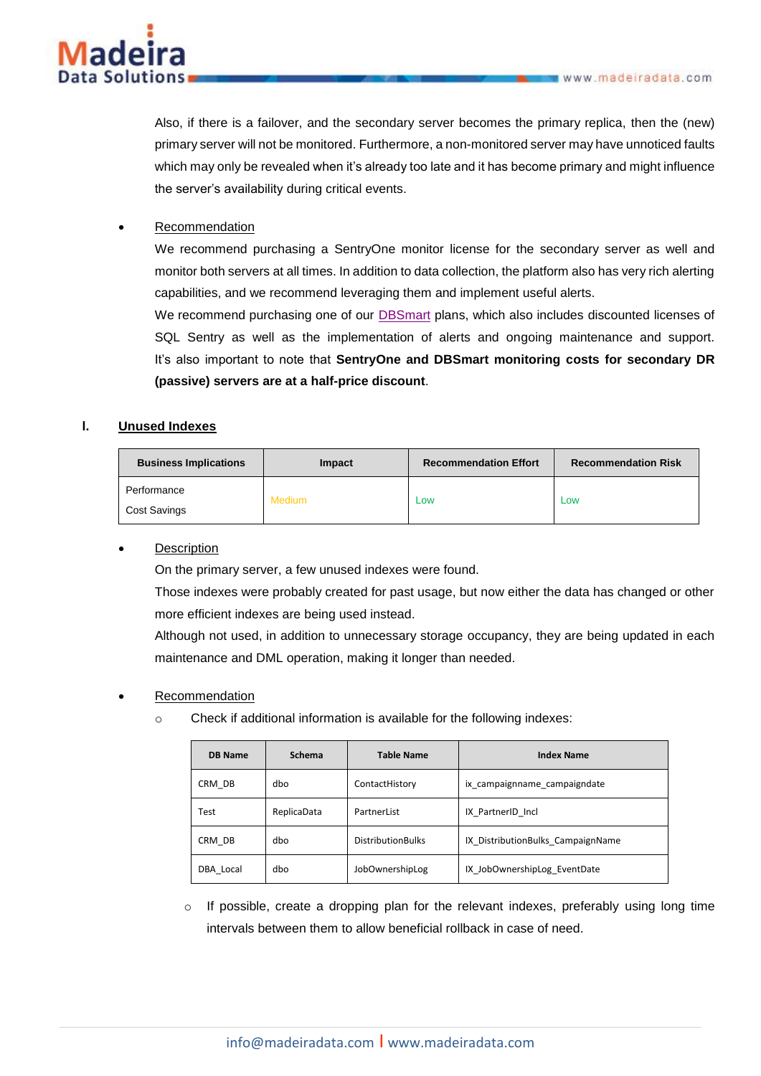

Also, if there is a failover, and the secondary server becomes the primary replica, then the (new) primary server will not be monitored. Furthermore, a non-monitored server may have unnoticed faults which may only be revealed when it's already too late and it has become primary and might influence the server's availability during critical events.

**Recommendation** 

We recommend purchasing a SentryOne monitor license for the secondary server as well and monitor both servers at all times. In addition to data collection, the platform also has very rich alerting capabilities, and we recommend leveraging them and implement useful alerts.

We recommend purchasing one of our [DBSmart](https://www.madeiradata.com/dbsmart) plans, which also includes discounted licenses of SQL Sentry as well as the implementation of alerts and ongoing maintenance and support. It's also important to note that **SentryOne and DBSmart monitoring costs for secondary DR (passive) servers are at a half-price discount**.

## <span id="page-15-0"></span>**l. Unused Indexes**

| <b>Business Implications</b>       | Impact | <b>Recommendation Effort</b> | <b>Recommendation Risk</b> |
|------------------------------------|--------|------------------------------|----------------------------|
| Performance<br><b>Cost Savings</b> | Medium | Low                          | Low                        |

## **Description**

On the primary server, a few unused indexes were found.

Those indexes were probably created for past usage, but now either the data has changed or other more efficient indexes are being used instead.

Although not used, in addition to unnecessary storage occupancy, they are being updated in each maintenance and DML operation, making it longer than needed.

## **Recommendation**

o Check if additional information is available for the following indexes:

| <b>DB</b> Name | Schema      | <b>Table Name</b>        | <b>Index Name</b>                 |
|----------------|-------------|--------------------------|-----------------------------------|
| CRM DB         | dbo         | ContactHistory           | ix campaignname campaigndate      |
| Test           | ReplicaData | PartnerList              | IX PartnerID Incl                 |
| CRM DB         | dbo         | <b>DistributionBulks</b> | IX DistributionBulks CampaignName |
| DBA Local      | dbo         | <b>JobOwnershipLog</b>   | IX JobOwnershipLog EventDate      |

 $\circ$  If possible, create a dropping plan for the relevant indexes, preferably using long time intervals between them to allow beneficial rollback in case of need.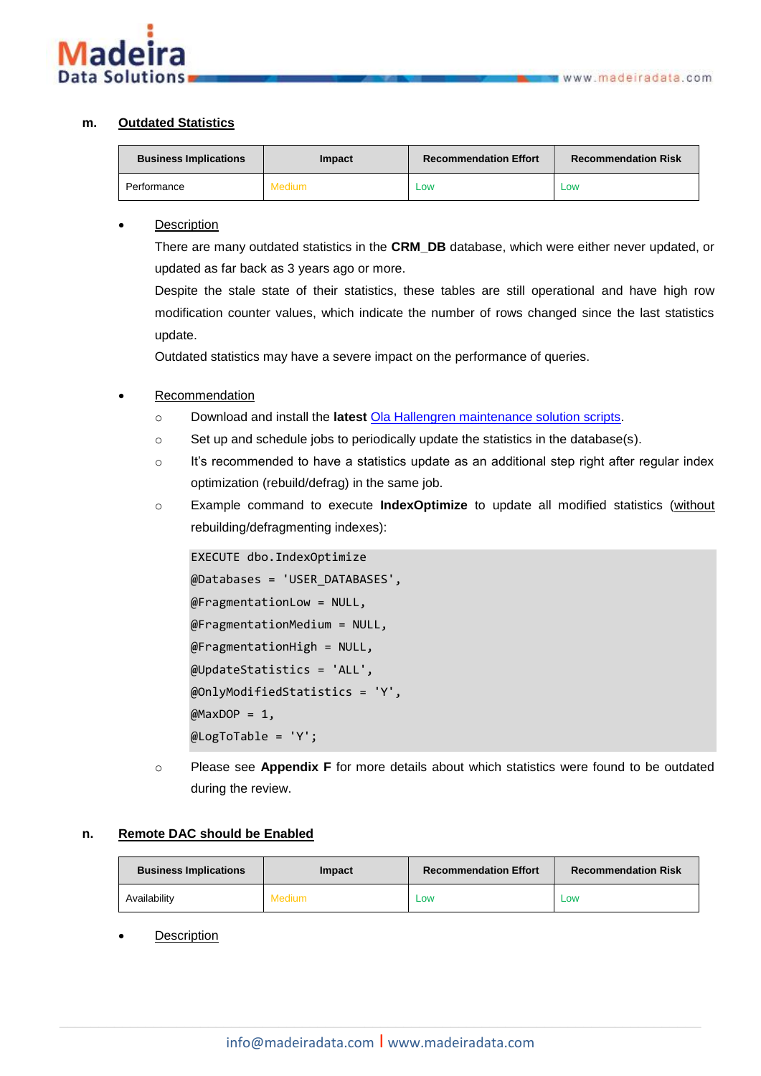

# <span id="page-16-0"></span>**m. Outdated Statistics**

| <b>Business Implications</b> | Impact        | <b>Recommendation Effort</b> | <b>Recommendation Risk</b> |
|------------------------------|---------------|------------------------------|----------------------------|
| Performance                  | <b>Medium</b> | <b>LOW</b>                   | Low                        |

#### **Description**

There are many outdated statistics in the **CRM\_DB** database, which were either never updated, or updated as far back as 3 years ago or more.

Despite the stale state of their statistics, these tables are still operational and have high row modification counter values, which indicate the number of rows changed since the last statistics update.

Outdated statistics may have a severe impact on the performance of queries.

#### **Recommendation**

- o Download and install the **latest** [Ola Hallengren maintenance solution scripts.](https://ola.hallengren.com/)
- o Set up and schedule jobs to periodically update the statistics in the database(s).
- o It's recommended to have a statistics update as an additional step right after regular index optimization (rebuild/defrag) in the same job.
- o Example command to execute **IndexOptimize** to update all modified statistics (without rebuilding/defragmenting indexes):

```
EXECUTE dbo.IndexOptimize
@Databases = 'USER_DATABASES',
@FragmentationLow = NULL,
@FragmentationMedium = NULL,
@FragmentationHigh = NULL,
@UpdateStatistics = 'ALL',
@OnlyModifiedStatistics = 'Y',
@MaxDOP = 1,
@LogToTable = 'Y';
```
o Please see **Appendix F** for more details about which statistics were found to be outdated during the review.

#### <span id="page-16-1"></span>**n. Remote DAC should be Enabled**

| <b>Business Implications</b> | Impact | <b>Recommendation Effort</b> | <b>Recommendation Risk</b> |
|------------------------------|--------|------------------------------|----------------------------|
| Availability                 | Medium | <b>LOW</b>                   | LOW                        |

**Description**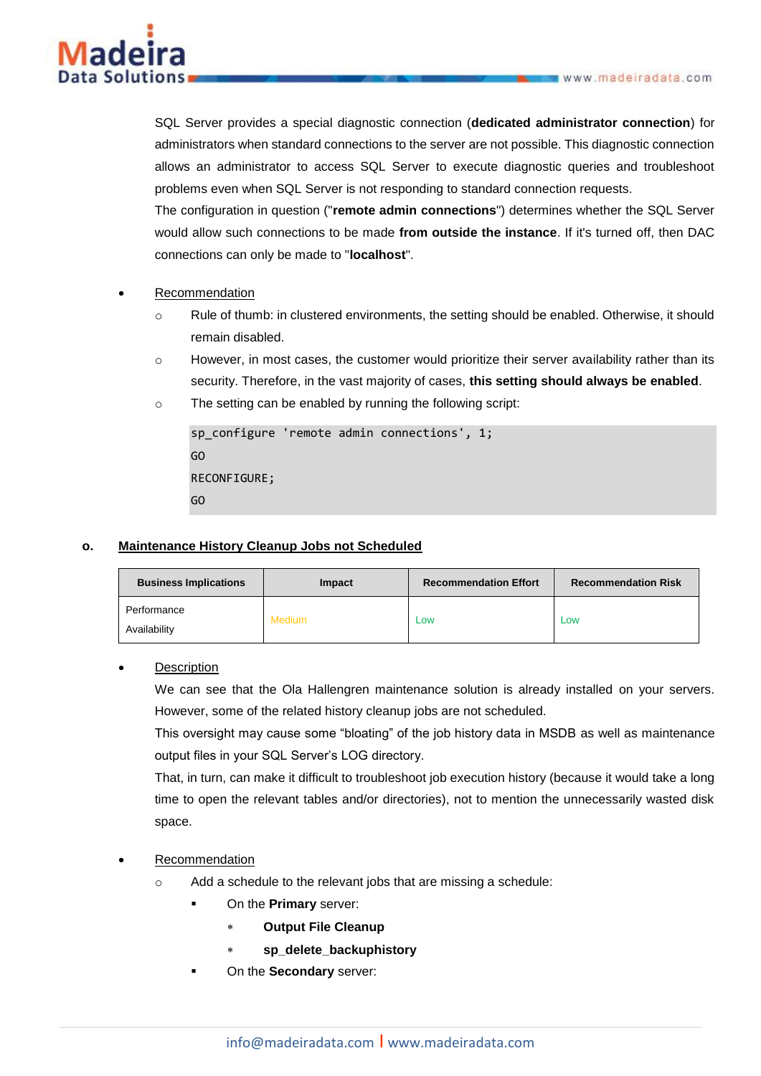

SQL Server provides a special diagnostic connection (**dedicated administrator connection**) for administrators when standard connections to the server are not possible. This diagnostic connection allows an administrator to access SQL Server to execute diagnostic queries and troubleshoot problems even when SQL Server is not responding to standard connection requests.

The configuration in question ("**remote admin connections**") determines whether the SQL Server would allow such connections to be made **from outside the instance**. If it's turned off, then DAC connections can only be made to "**localhost**".

- **Recommendation** 
	- o Rule of thumb: in clustered environments, the setting should be enabled. Otherwise, it should remain disabled.
	- $\circ$  However, in most cases, the customer would prioritize their server availability rather than its security. Therefore, in the vast majority of cases, **this setting should always be enabled**.
	- o The setting can be enabled by running the following script:

```
sp configure 'remote admin connections', 1;
GO
RECONFIGURE;
GO
```
## <span id="page-17-0"></span>**o. Maintenance History Cleanup Jobs not Scheduled**

| <b>Business Implications</b> | Impact        | <b>Recommendation Effort</b> | <b>Recommendation Risk</b> |
|------------------------------|---------------|------------------------------|----------------------------|
| Performance<br>Availability  | <b>Medium</b> | Low                          | LOW                        |

**Description** 

We can see that the Ola Hallengren maintenance solution is already installed on your servers. However, some of the related history cleanup jobs are not scheduled.

This oversight may cause some "bloating" of the job history data in MSDB as well as maintenance output files in your SQL Server's LOG directory.

That, in turn, can make it difficult to troubleshoot job execution history (because it would take a long time to open the relevant tables and/or directories), not to mention the unnecessarily wasted disk space.

## **Recommendation**

- o Add a schedule to the relevant jobs that are missing a schedule:
	- On the **Primary** server:
		- **Output File Cleanup**
		- **sp\_delete\_backuphistory**
	- On the **Secondary** server: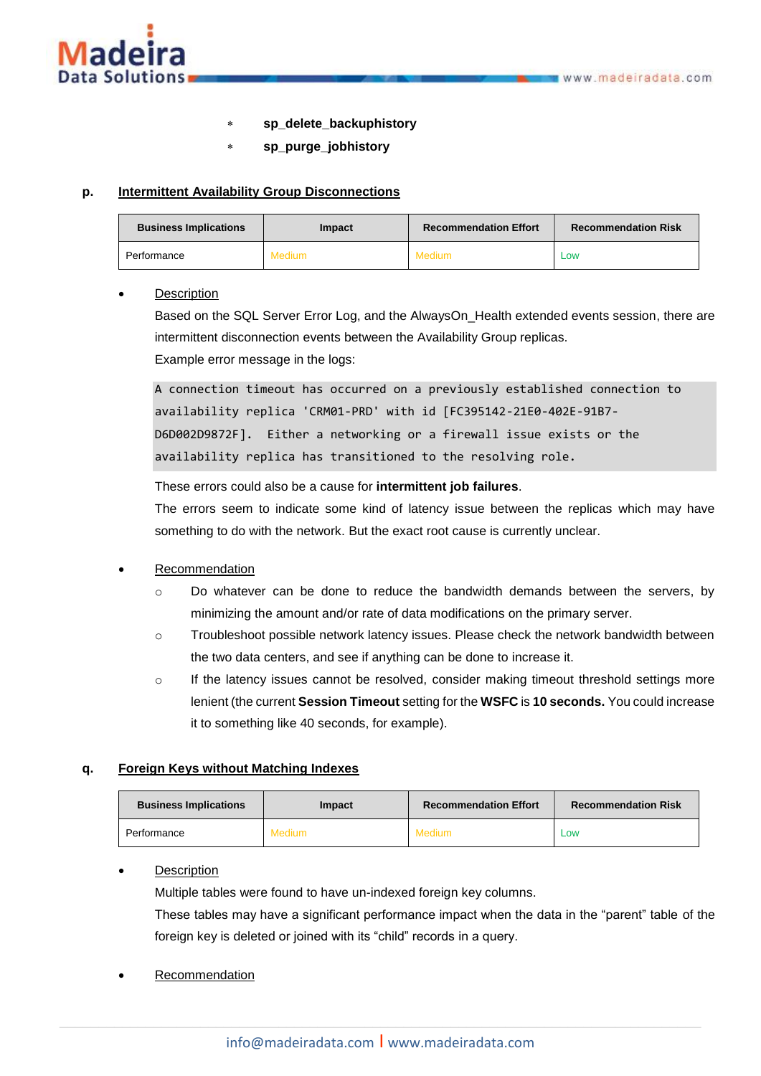

#### **sp\_delete\_backuphistory**

**sp\_purge\_jobhistory**

# <span id="page-18-0"></span>**p. Intermittent Availability Group Disconnections**

| <b>Business Implications</b> | Impact | <b>Recommendation Effort</b> | <b>Recommendation Risk</b> |
|------------------------------|--------|------------------------------|----------------------------|
| Performance                  | Medium | Medium                       | Low                        |

## **Description**

Based on the SQL Server Error Log, and the AlwaysOn Health extended events session, there are intermittent disconnection events between the Availability Group replicas.

Example error message in the logs:

A connection timeout has occurred on a previously established connection to availability replica 'CRM01-PRD' with id [FC395142-21E0-402E-91B7- D6D002D9872F]. Either a networking or a firewall issue exists or the availability replica has transitioned to the resolving role.

#### These errors could also be a cause for **intermittent job failures**.

The errors seem to indicate some kind of latency issue between the replicas which may have something to do with the network. But the exact root cause is currently unclear.

## • Recommendation

- o Do whatever can be done to reduce the bandwidth demands between the servers, by minimizing the amount and/or rate of data modifications on the primary server.
- o Troubleshoot possible network latency issues. Please check the network bandwidth between the two data centers, and see if anything can be done to increase it.
- $\circ$  If the latency issues cannot be resolved, consider making timeout threshold settings more lenient (the current **Session Timeout** setting for the **WSFC** is **10 seconds.** You could increase it to something like 40 seconds, for example).

## <span id="page-18-1"></span>**q. Foreign Keys without Matching Indexes**

| <b>Business Implications</b> | Impact | <b>Recommendation Effort</b> | <b>Recommendation Risk</b> |
|------------------------------|--------|------------------------------|----------------------------|
| Performance                  | Medium | Medium                       | Low                        |

## **Description**

Multiple tables were found to have un-indexed foreign key columns.

These tables may have a significant performance impact when the data in the "parent" table of the foreign key is deleted or joined with its "child" records in a query.

## • Recommendation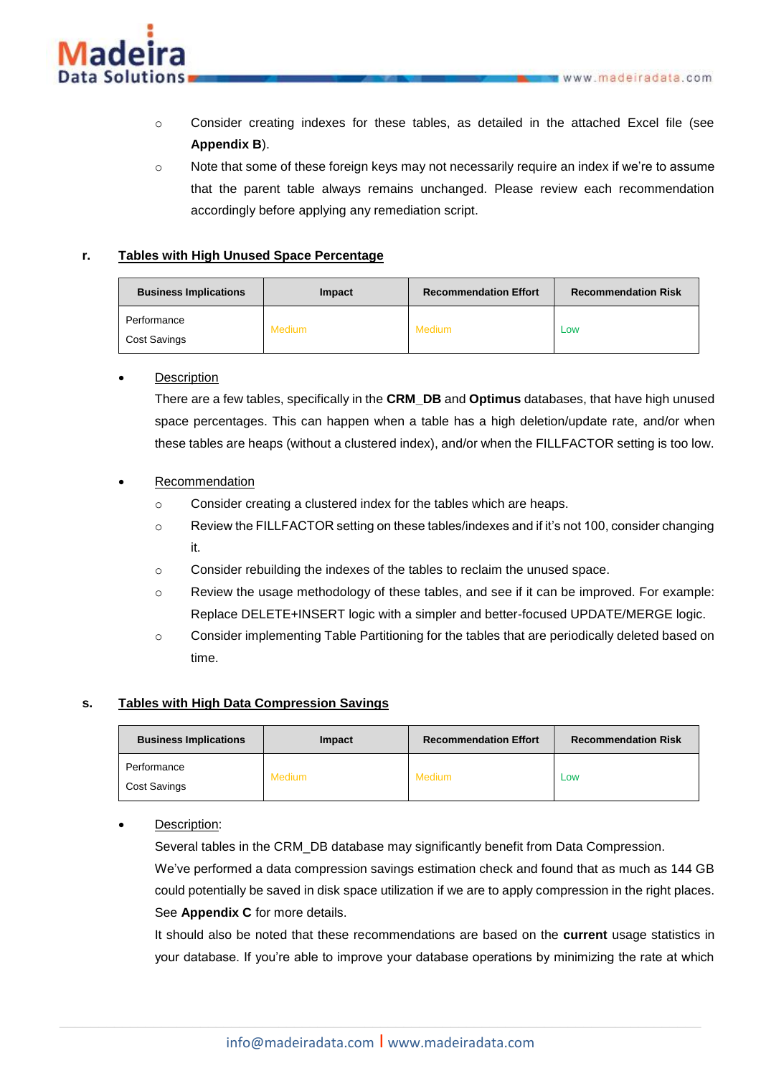

- o Consider creating indexes for these tables, as detailed in the attached Excel file (see **Appendix B**).
- $\circ$  Note that some of these foreign keys may not necessarily require an index if we're to assume that the parent table always remains unchanged. Please review each recommendation accordingly before applying any remediation script.

# <span id="page-19-0"></span>**r. Tables with High Unused Space Percentage**

| <b>Business Implications</b>       | Impact        | <b>Recommendation Effort</b> | <b>Recommendation Risk</b> |
|------------------------------------|---------------|------------------------------|----------------------------|
| Performance<br><b>Cost Savings</b> | <b>Medium</b> | Medium                       | Low                        |

## **Description**

There are a few tables, specifically in the **CRM\_DB** and **Optimus** databases, that have high unused space percentages. This can happen when a table has a high deletion/update rate, and/or when these tables are heaps (without a clustered index), and/or when the FILLFACTOR setting is too low.

# **Recommendation**

- o Consider creating a clustered index for the tables which are heaps.
- $\circ$  Review the FILLFACTOR setting on these tables/indexes and if it's not 100, consider changing it.
- o Consider rebuilding the indexes of the tables to reclaim the unused space.
- o Review the usage methodology of these tables, and see if it can be improved. For example: Replace DELETE+INSERT logic with a simpler and better-focused UPDATE/MERGE logic.
- o Consider implementing Table Partitioning for the tables that are periodically deleted based on time.

## <span id="page-19-1"></span>**s. Tables with High Data Compression Savings**

| <b>Business Implications</b> | Impact | <b>Recommendation Effort</b> | <b>Recommendation Risk</b> |
|------------------------------|--------|------------------------------|----------------------------|
| Performance<br>Cost Savings  | Medium | Medium                       | Low                        |

Description:

Several tables in the CRM\_DB database may significantly benefit from Data Compression. We've performed a data compression savings estimation check and found that as much as 144 GB could potentially be saved in disk space utilization if we are to apply compression in the right places. See **Appendix C** for more details.

It should also be noted that these recommendations are based on the **current** usage statistics in your database. If you're able to improve your database operations by minimizing the rate at which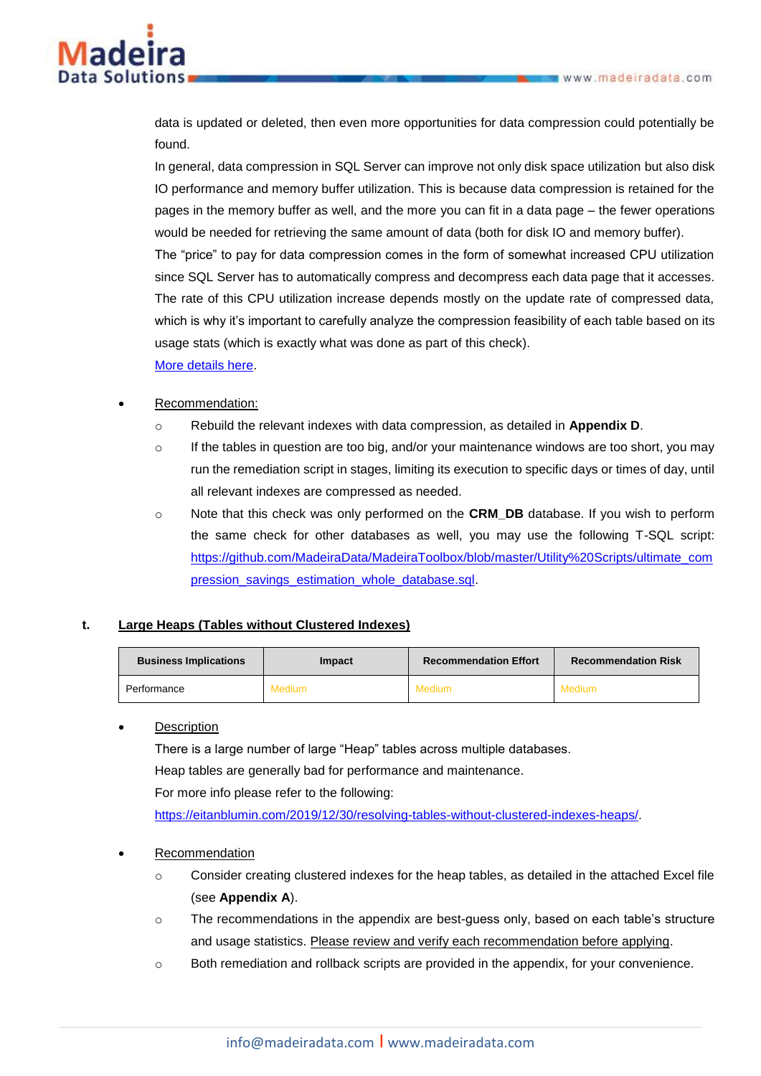

data is updated or deleted, then even more opportunities for data compression could potentially be found.

In general, data compression in SQL Server can improve not only disk space utilization but also disk IO performance and memory buffer utilization. This is because data compression is retained for the pages in the memory buffer as well, and the more you can fit in a data page – the fewer operations would be needed for retrieving the same amount of data (both for disk IO and memory buffer).

The "price" to pay for data compression comes in the form of somewhat increased CPU utilization since SQL Server has to automatically compress and decompress each data page that it accesses. The rate of this CPU utilization increase depends mostly on the update rate of compressed data, which is why it's important to carefully analyze the compression feasibility of each table based on its usage stats (which is exactly what was done as part of this check).

[More details here.](https://www.madeiradata.com/post/how-to-effectively-compress-your-data-in-sql-server)

#### • Recommendation:

- o Rebuild the relevant indexes with data compression, as detailed in **Appendix D**.
- $\circ$  If the tables in question are too big, and/or your maintenance windows are too short, you may run the remediation script in stages, limiting its execution to specific days or times of day, until all relevant indexes are compressed as needed.
- o Note that this check was only performed on the **CRM\_DB** database. If you wish to perform the same check for other databases as well, you may use the following T-SQL script: [https://github.com/MadeiraData/MadeiraToolbox/blob/master/Utility%20Scripts/ultimate\\_com](https://github.com/MadeiraData/MadeiraToolbox/blob/master/Utility%20Scripts/ultimate_compression_savings_estimation_whole_database.sql) [pression\\_savings\\_estimation\\_whole\\_database.sql.](https://github.com/MadeiraData/MadeiraToolbox/blob/master/Utility%20Scripts/ultimate_compression_savings_estimation_whole_database.sql)

# <span id="page-20-0"></span>**t. Large Heaps (Tables without Clustered Indexes)**

| <b>Business Implications</b> | Impact        | <b>Recommendation Effort</b> | <b>Recommendation Risk</b> |
|------------------------------|---------------|------------------------------|----------------------------|
| Performance                  | <b>Medium</b> | Medium                       | Medium                     |

## **Description**

There is a large number of large "Heap" tables across multiple databases.

Heap tables are generally bad for performance and maintenance.

For more info please refer to the following:

[https://eitanblumin.com/2019/12/30/resolving-tables-without-clustered-indexes-heaps/.](https://eitanblumin.com/2019/12/30/resolving-tables-without-clustered-indexes-heaps/)

## • Recommendation

- $\circ$  Consider creating clustered indexes for the heap tables, as detailed in the attached Excel file (see **Appendix A**).
- o The recommendations in the appendix are best-guess only, based on each table's structure and usage statistics. Please review and verify each recommendation before applying.
- $\circ$  Both remediation and rollback scripts are provided in the appendix, for your convenience.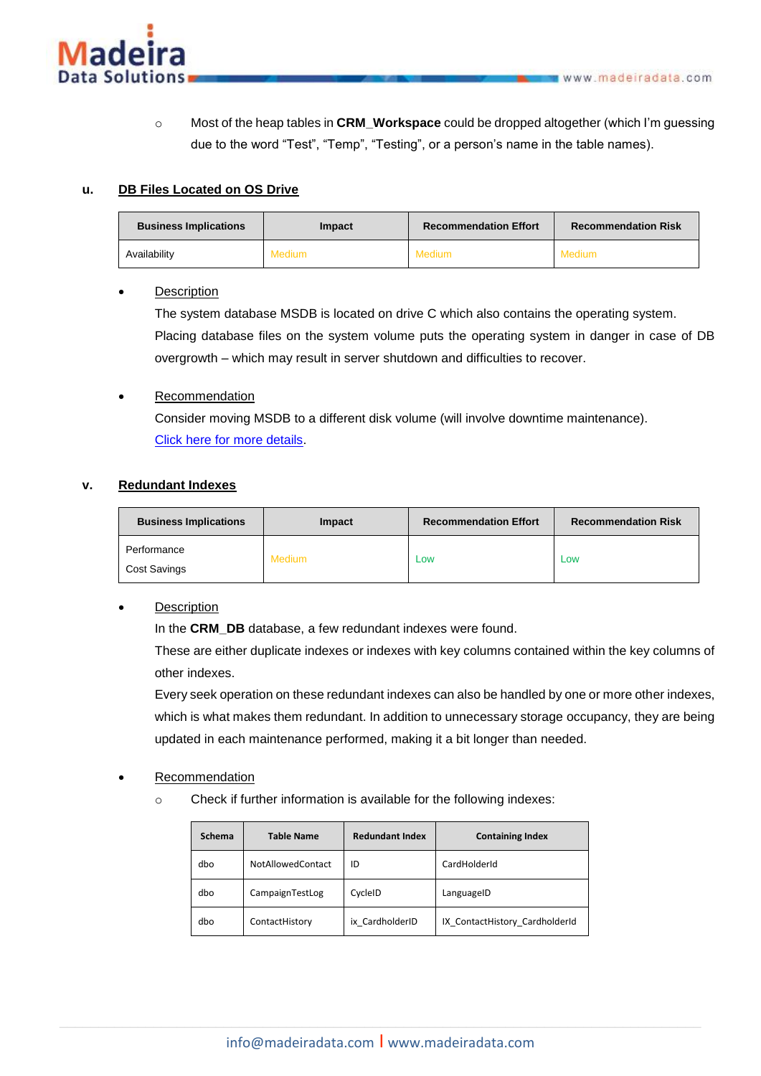

o Most of the heap tables in **CRM\_Workspace** could be dropped altogether (which I'm guessing due to the word "Test", "Temp", "Testing", or a person's name in the table names).

## <span id="page-21-0"></span>**u. DB Files Located on OS Drive**

| <b>Business Implications</b> | <b>Impact</b> | <b>Recommendation Effort</b> | <b>Recommendation Risk</b> |
|------------------------------|---------------|------------------------------|----------------------------|
| Availability                 | Medium        | Medium                       | Medium                     |

#### **Description**

The system database MSDB is located on drive C which also contains the operating system. Placing database files on the system volume puts the operating system in danger in case of DB overgrowth – which may result in server shutdown and difficulties to recover.

## • Recommendation

Consider moving MSDB to a different disk volume (will involve downtime maintenance). [Click here for more details.](https://www.sqlwatchmen.com/sql-server/safely-moving-msdb-sql-server/)

#### <span id="page-21-1"></span>**v. Redundant Indexes**

| <b>Business Implications</b> | Impact | <b>Recommendation Effort</b> | <b>Recommendation Risk</b> |
|------------------------------|--------|------------------------------|----------------------------|
| Performance<br>Cost Savings  | Medium | Low                          | Low                        |

## **Description**

In the **CRM\_DB** database, a few redundant indexes were found.

These are either duplicate indexes or indexes with key columns contained within the key columns of other indexes.

Every seek operation on these redundant indexes can also be handled by one or more other indexes, which is what makes them redundant. In addition to unnecessary storage occupancy, they are being updated in each maintenance performed, making it a bit longer than needed.

## • Recommendation

o Check if further information is available for the following indexes:

| Schema | <b>Table Name</b>        | <b>Redundant Index</b> | <b>Containing Index</b>        |
|--------|--------------------------|------------------------|--------------------------------|
| dbo    | <b>NotAllowedContact</b> | ID                     | CardHolderId                   |
| dbo    | CampaignTestLog          | CycleID                | LanguageID                     |
| dbo    | ContactHistory           | ix CardholderID        | IX ContactHistory CardholderId |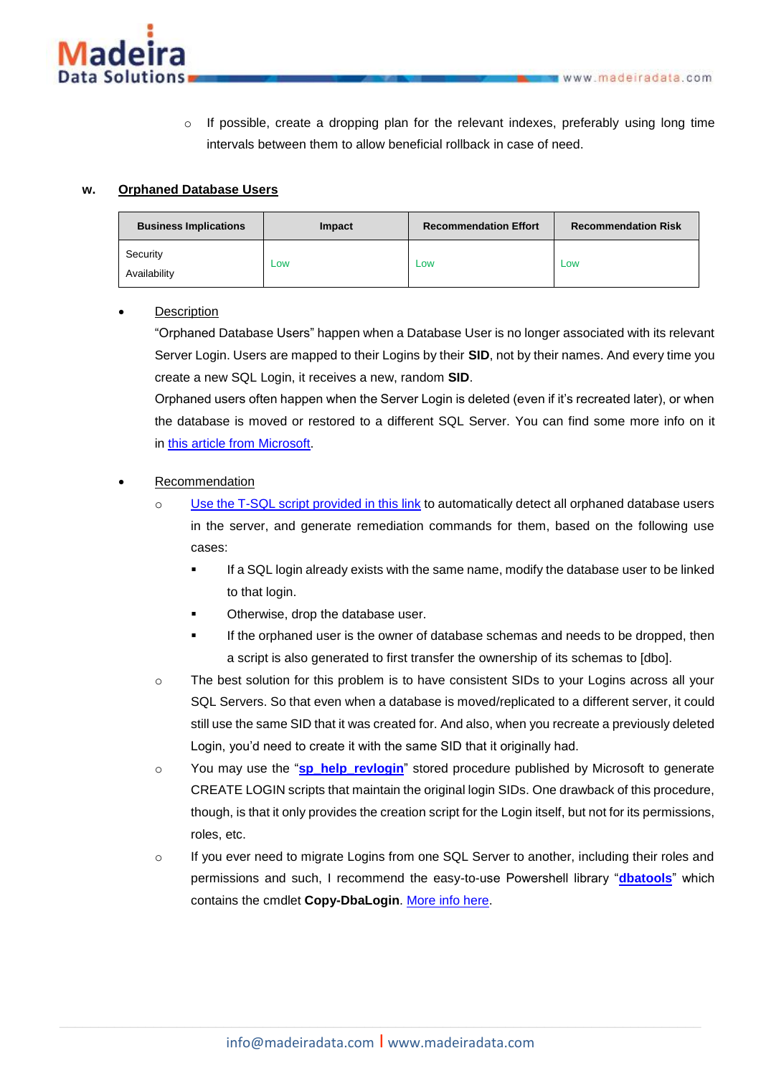

 $\circ$  If possible, create a dropping plan for the relevant indexes, preferably using long time intervals between them to allow beneficial rollback in case of need.

#### <span id="page-22-0"></span>**w. Orphaned Database Users**

| <b>Business Implications</b> | Impact | <b>Recommendation Effort</b> | <b>Recommendation Risk</b> |
|------------------------------|--------|------------------------------|----------------------------|
| Security<br>Availability     | Low    | ∟ow                          | Low                        |

## **Description**

"Orphaned Database Users" happen when a Database User is no longer associated with its relevant Server Login. Users are mapped to their Logins by their **SID**, not by their names. And every time you create a new SQL Login, it receives a new, random **SID**.

Orphaned users often happen when the Server Login is deleted (even if it's recreated later), or when the database is moved or restored to a different SQL Server. You can find some more info on it in this [article from Microsoft.](https://docs.microsoft.com/en-us/sql/sql-server/failover-clusters/troubleshoot-orphaned-users-sql-server)

## **Recommendation**

- o [Use the T-SQL script provided in this](https://eitanblumin.com/2018/10/31/t-sql-script-to-fix-orphaned-db-users-easily/) link to automatically detect all orphaned database users in the server, and generate remediation commands for them, based on the following use cases:
	- If a SQL login already exists with the same name, modify the database user to be linked to that login.
	- Otherwise, drop the database user.
	- If the orphaned user is the owner of database schemas and needs to be dropped, then a script is also generated to first transfer the ownership of its schemas to [dbo].
- o The best solution for this problem is to have consistent SIDs to your Logins across all your SQL Servers. So that even when a database is moved/replicated to a different server, it could still use the same SID that it was created for. And also, when you recreate a previously deleted Login, you'd need to create it with the same SID that it originally had.
- o You may use the "**[sp\\_help\\_revlogin](https://support.microsoft.com/en-us/help/918992/how-to-transfer-logins-and-passwords-between-instances-of-sql-server)**" stored procedure published by Microsoft to generate CREATE LOGIN scripts that maintain the original login SIDs. One drawback of this procedure, though, is that it only provides the creation script for the Login itself, but not for its permissions, roles, etc.
- o If you ever need to migrate Logins from one SQL Server to another, including their roles and permissions and such, I recommend the easy-to-use Powershell library "**[dbatools](https://dbatools.io/)**" which contains the cmdlet **Copy-DbaLogin**. [More info here.](https://dbatools.io/functions/copy-dbalogin/)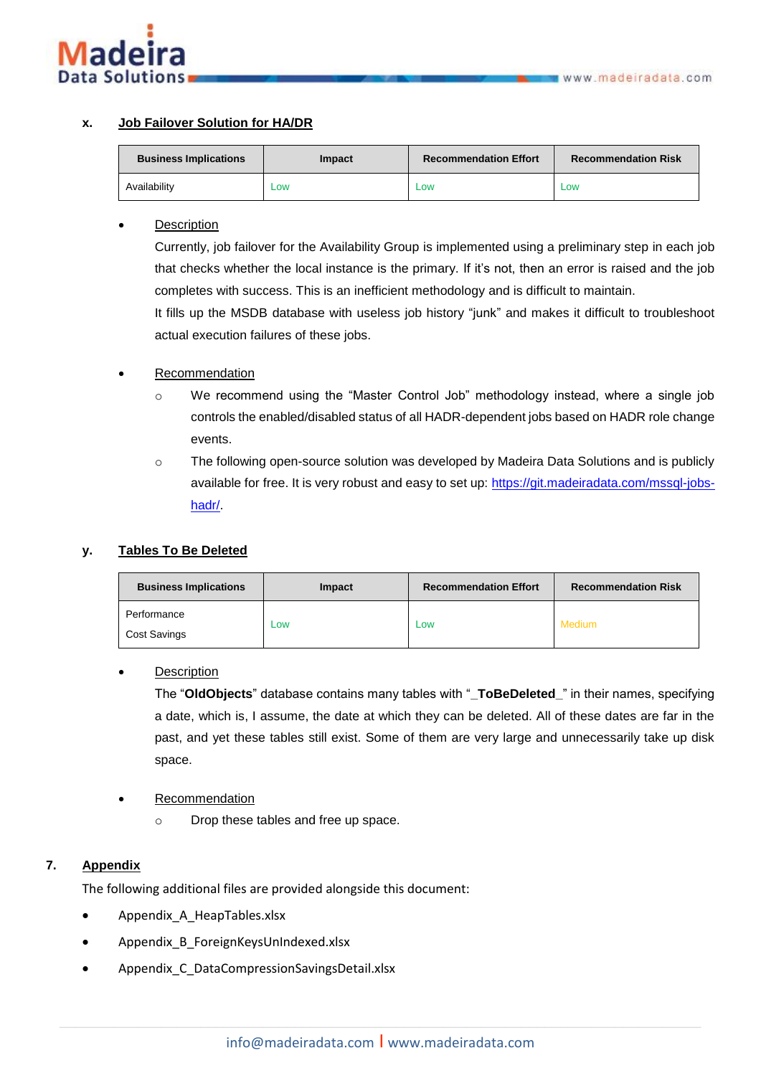

## <span id="page-23-0"></span>**x. Job Failover Solution for HA/DR**

| <b>Business Implications</b> | Impact     | <b>Recommendation Effort</b> | <b>Recommendation Risk</b> |
|------------------------------|------------|------------------------------|----------------------------|
| Availability                 | <b>LOW</b> | <b>LOW</b>                   | Low                        |

# **Description**

Currently, job failover for the Availability Group is implemented using a preliminary step in each job that checks whether the local instance is the primary. If it's not, then an error is raised and the job completes with success. This is an inefficient methodology and is difficult to maintain.

It fills up the MSDB database with useless job history "junk" and makes it difficult to troubleshoot actual execution failures of these jobs.

# **Recommendation**

- o We recommend using the "Master Control Job" methodology instead, where a single job controls the enabled/disabled status of all HADR-dependent jobs based on HADR role change events.
- o The following open-source solution was developed by Madeira Data Solutions and is publicly available for free. It is very robust and easy to set up: [https://git.madeiradata.com/mssql-jobs](https://git.madeiradata.com/mssql-jobs-hadr/)[hadr/.](https://git.madeiradata.com/mssql-jobs-hadr/)

## <span id="page-23-1"></span>**y. Tables To Be Deleted**

| <b>Business Implications</b> | Impact | <b>Recommendation Effort</b> | <b>Recommendation Risk</b> |
|------------------------------|--------|------------------------------|----------------------------|
| Performance<br>Cost Savings  | Low    | ∟OW                          | Medium                     |

**Description** 

The "**OldObjects**" database contains many tables with "**\_ToBeDeleted\_**" in their names, specifying a date, which is, I assume, the date at which they can be deleted. All of these dates are far in the past, and yet these tables still exist. Some of them are very large and unnecessarily take up disk space.

- Recommendation
	- o Drop these tables and free up space.

# **7. Appendix**

The following additional files are provided alongside this document:

- Appendix A HeapTables.xlsx
- Appendix\_B\_ForeignKeysUnIndexed.xlsx
- Appendix C DataCompressionSavingsDetail.xlsx